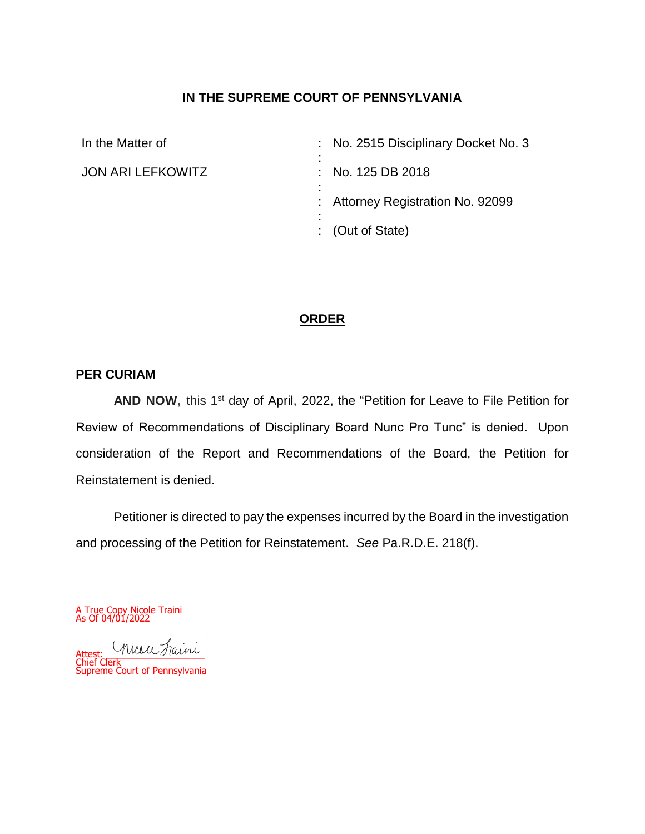# **IN THE SUPREME COURT OF PENNSYLVANIA**

In the Matter of

JON ARI LEFKOWITZ

: : : No. 125 DB 2018 : : Attorney Registration No. 92099 : : (Out of State) No. 2515 Disciplinary Docket No. 3

# **ORDER**

### **PER CURIAM**

AND NOW, this 1<sup>st</sup> day of April, 2022, the "Petition for Leave to File Petition for Review of Recommendations of Disciplinary Board Nunc Pro Tunc" is denied. Upon consideration of the Report and Recommendations of the Board, the Petition for Reinstatement is denied.

Petitioner is directed to pay the expenses incurred by the Board in the investigation and processing of the Petition for Reinstatement. *See* Pa.R.D.E. 218(f).

A True Copy Nicole Traini As Of 04/01/2022

Attect: Attest: \_\_\_\_\_\_\_\_\_\_\_\_\_\_\_\_\_\_\_ Chief Clerk Supreme Court of Pennsylvania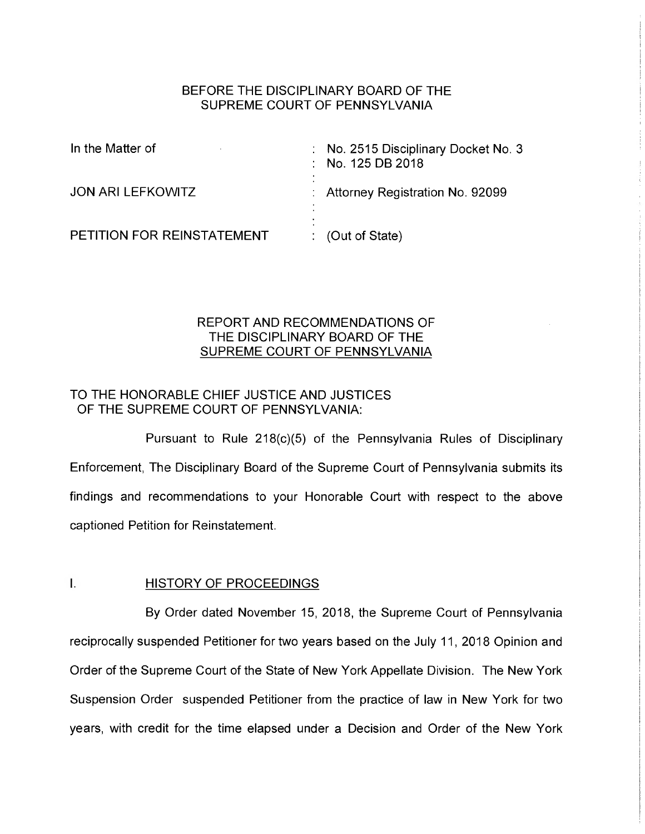### BEFORE THE DISCIPLINARY BOARD OF THE SUPREME COURT OF PENNSYLVANIA

| In the Matter of           | No. 2515 Disciplinary Docket No. 3<br>$\therefore$ No. 125 DB 2018 |
|----------------------------|--------------------------------------------------------------------|
| <b>JON ARI LEFKOWITZ</b>   | : Attorney Registration No. 92099                                  |
| PETITION FOR REINSTATEMENT | $\therefore$ (Out of State)                                        |

### REPORT AND RECOMMENDATIONS OF THE DISCIPLINARY BOARD OF THE SUPREME COURT OF PENNSYLVANIA

# TO THE HONORABLE CHIEF JUSTICE AND JUSTICES OF THE SUPREME COURT OF PENNSYLVANIA:

Pursuant to Rule 218(c)(5) of the Pennsylvania Rules of Disciplinary Enforcement, The Disciplinary Board of the Supreme Court of Pennsylvania submits its findings and recommendations to your Honorable Court with respect to the above captioned Petition for Reinstatement.

### I. HISTORY OF PROCEEDINGS

By Order dated November 15, 2018, the Supreme Court of Pennsylvania reciprocally suspended Petitioner for two years based on the July 11, 2018 Opinion and Order of the Supreme Court of the State of New York Appellate Division. The New York Suspension Order suspended Petitioner from the practice of law in New York for two years, with credit for the time elapsed under a Decision and Order of the New York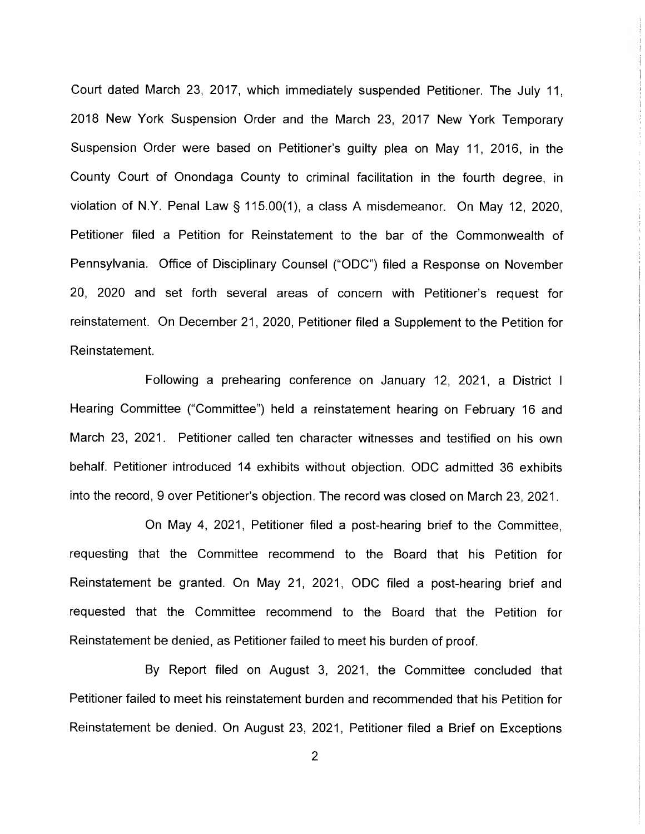Court dated March 23, 2017, which immediately suspended Petitioner. The July 11, 2018 New York Suspension Order and the March 23, 2017 New York Temporary Suspension Order were based on Petitioner's guilty plea on May 11, 2016, in the County Court of Onondaga County to criminal facilitation in the fourth degree, in violation of N.Y. Penal Law § 115.00(1), a class A misdemeanor. On May 12, 2020, Petitioner filed a Petition for Reinstatement to the bar of the Commonwealth of Pennsylvania. Office of Disciplinary Counsel ("ODC") filed a Response on November 20, 2020 and set forth several areas of concern with Petitioner's request for reinstatement. On December 21, 2020, Petitioner filed a Supplement to the Petition for Reinstatement.

Following a prehearing conference on January 12, 2021, a District I Hearing Committee ("Committee") held a reinstatement hearing on February 16 and March 23, 2021. Petitioner called ten character witnesses and testified on his own behalf. Petitioner introduced 14 exhibits without objection. ODC admitted 36 exhibits into the record, 9 over Petitioner's objection. The record was closed on March 23, 2021.

On May 4, 2021, Petitioner filed a post-hearing brief to the Committee, requesting that the Committee recommend to the Board that his Petition for Reinstatement be granted. On May 21, 2021, ODC filed a post-hearing brief and requested that the Committee recommend to the Board that the Petition for Reinstatement be denied, as Petitioner failed to meet his burden of proof.

By Report filed on August 3, 2021, the Committee concluded that Petitioner failed to meet his reinstatement burden and recommended that his Petition for Reinstatement be denied. On August 23, 2021, Petitioner filed a Brief on Exceptions

2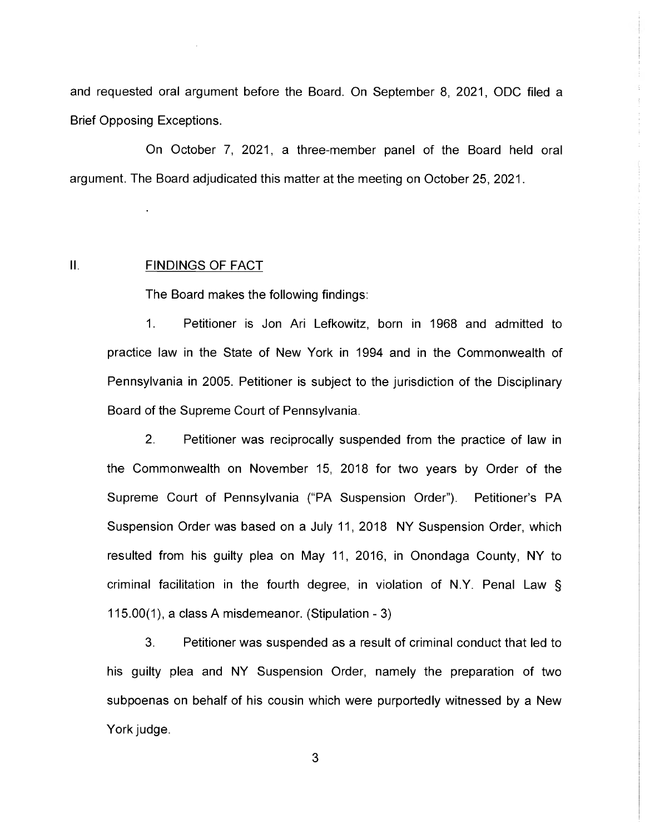and requested oral argument before the Board. On September 8, 2021, ODC filed a Brief Opposing Exceptions.

On October 7, 2021, a three-member panel of the Board held oral argument. The Board adjudicated this matter at the meeting on October 25, 2021.

### II. FINDINGS OF FACT

The Board makes the following findings:

1. Petitioner is Jon Ari Lefkowitz, born in 1968 and admitted to practice law in the State of New York in 1994 and in the Commonwealth of Pennsylvania in 2005. Petitioner is subject to the jurisdiction of the Disciplinary Board of the Supreme Court of Pennsylvania.

2. Petitioner was reciprocally suspended from the practice of law in the Commonwealth on November 15, 2018 for two years by Order of the Supreme Court of Pennsylvania ("PA Suspension Order"). Petitioner's PA Suspension Order was based on a July 11, 2018 NY Suspension Order, which resulted from his guilty plea on May 11, 2016, in Onondaga County, NY to criminal facilitation in the fourth degree, in violation of N.Y. Penal Law §  $115.00(1)$ , a class A misdemeanor. (Stipulation - 3)

3. Petitioner was suspended as a result of criminal conduct that led to his guilty plea and NY Suspension Order, namely the preparation of two subpoenas on behalf of his cousin which were purportedly witnessed by a New York judge.

3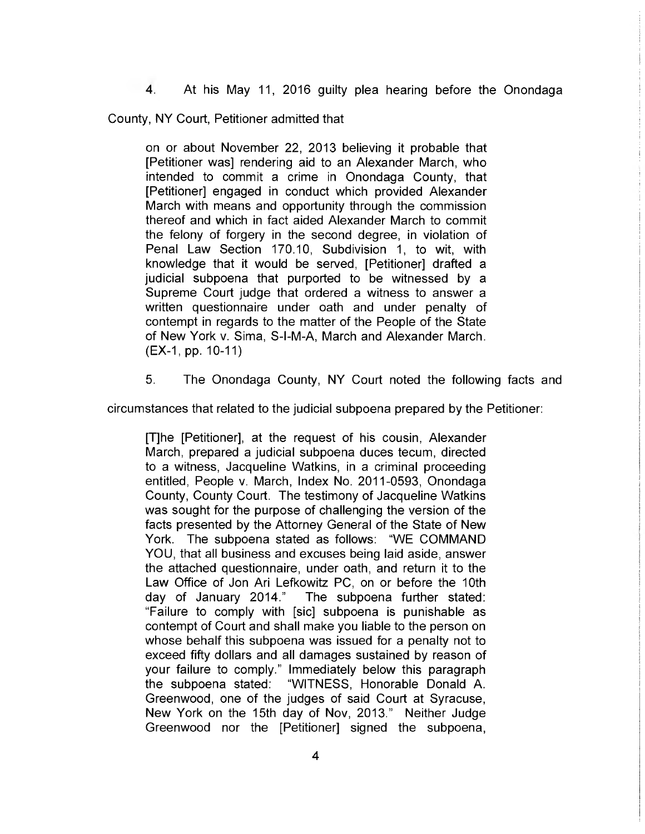4. At his May 11, 2016 guilty plea hearing before the Onondaga

County, NY Court, Petitioner admitted that

on or about November 22, 2013 believing it probable that [Petitioner was] rendering aid to an Alexander March, who intended to commit a crime in Onondaga County, that [Petitioner] engaged in conduct which provided Alexander March with means and opportunity through the commission thereof and which in fact aided Alexander March to commit the felony of forgery in the second degree, in violation of Penal Law Section 170.10, Subdivision 1, to wit, with knowledge that it would be served, [Petitioner] drafted a judicial subpoena that purported to be witnessed by a Supreme Court judge that ordered a witness to answer a written questionnaire under oath and under penalty of contempt in regards to the matter of the People of the State of New York v. Sima, S-I-M-A, March and Alexander March. (EX-1, pp. 10-11)

5. The Onondaga County, NY Court noted the following facts and

circumstances that related to the judicial subpoena prepared by the Petitioner:

[T]he [Petitioner], at the request of his cousin, Alexander March, prepared a judicial subpoena duces tecum, directed to a witness, Jacqueline Watkins, in a criminal proceeding entitled, People v. March, Index No. 2011-0593, Onondaga County, County Court. The testimony of Jacqueline Watkins was sought for the purpose of challenging the version of the facts presented by the Attorney General of the State of New York. The subpoena stated as follows: "WE COMMAND YOU, that all business and excuses being laid aside, answer the attached questionnaire, under oath, and return it to the Law Office of Jon Ari Lefkowitz PC, on or before the 10th day of January 2014." The subpoena further stated: "Failure to comply with [sic] subpoena is punishable as contempt of Court and shall make you liable to the person on whose behalf this subpoena was issued for a penalty not to exceed fifty dollars and all damages sustained by reason of your failure to comply." Immediately below this paragraph the subpoena stated: "WITNESS, Honorable Donald A. Greenwood, one of the judges of said Court at Syracuse, New York on the 15th day of Nov, 2013." Neither Judge Greenwood nor the [Petitioner] signed the subpoena,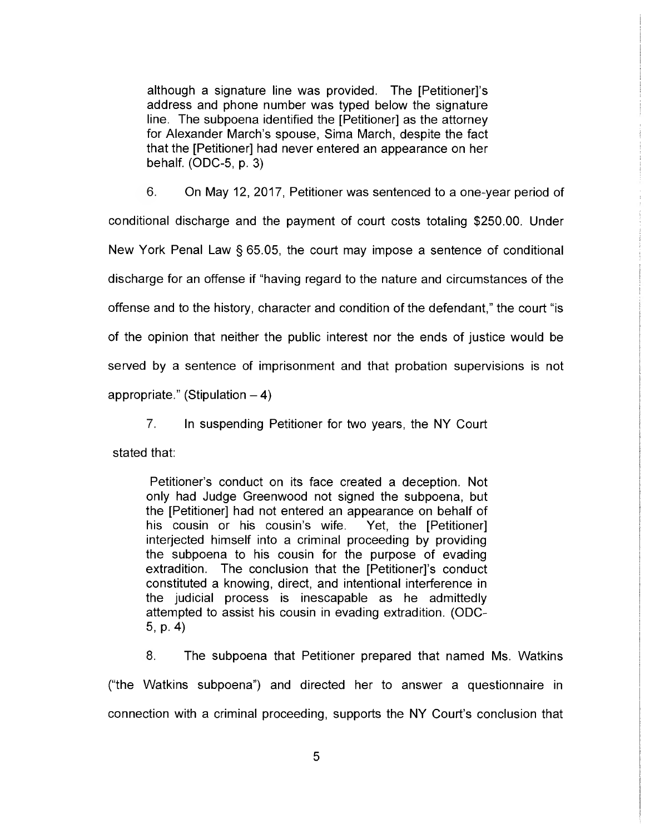although a signature line was provided. The [Petitioner]'s address and phone number was typed below the signature line. The subpoena identified the [Petitioner] as the attorney for Alexander March's spouse, Sima March, despite the fact that the [Petitioner] had never entered an appearance on her behalf. (ODC-5, p. 3)

6. On May 12, 2017, Petitioner was sentenced to a one-year period of conditional discharge and the payment of court costs totaling \$250.00. Under New York Penal Law § 65.05, the court may impose a sentence of conditional discharge for an offense if "having regard to the nature and circumstances of the offense and to the history, character and condition of the defendant," the court "is of the opinion that neither the public interest nor the ends of justice would be served by a sentence of imprisonment and that probation supervisions is not

appropriate." (Stipulation  $-4$ )

7. In suspending Petitioner for two years, the NY Court

stated that:

Petitioner's conduct on its face created a deception. Not only had Judge Greenwood not signed the subpoena, but the [Petitioner] had not entered an appearance on behalf of his cousin or his cousin's wife. Yet, the [Petitioner] interjected himself into a criminal proceeding by providing the subpoena to his cousin for the purpose of evading extradition. The conclusion that the [Petitioner]'s conduct constituted a knowing, direct, and intentional interference in the judicial process is inescapable as he admittedly attempted to assist his cousin in evading extradition. (ODC-5, p. 4)

8. The subpoena that Petitioner prepared that named Ms. Watkins ("the Watkins subpoena") and directed her to answer a questionnaire in connection with a criminal proceeding, supports the NY Court's conclusion that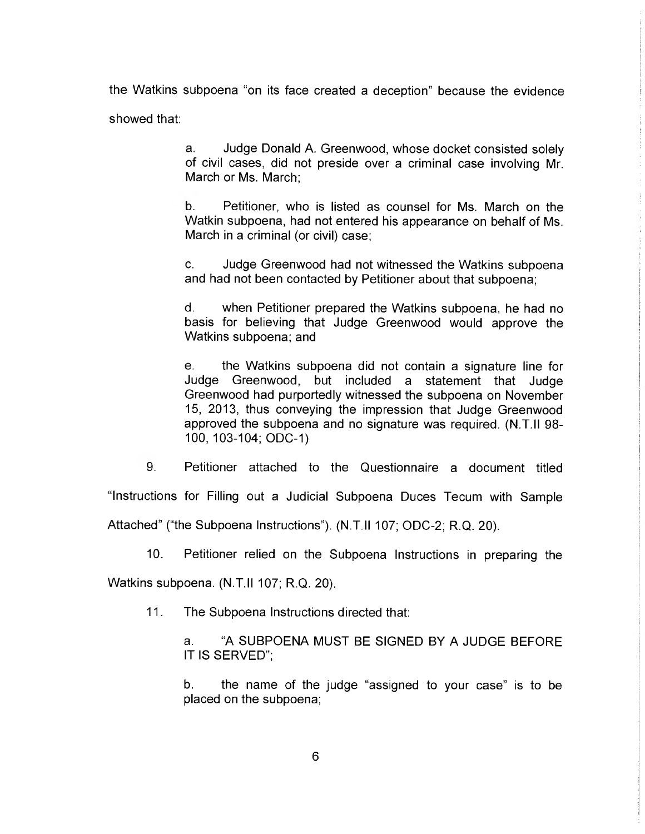the Watkins subpoena "on its face created a deception" because the evidence showed that:

> a. Judge Donald A. Greenwood, whose docket consisted solely of civil cases, did not preside over a criminal case involving Mr. March or Ms. March;

> b. Petitioner, who is listed as counsel for Ms. March on the Watkin subpoena, had not entered his appearance on behalf of Ms. March in a criminal (or civil) case;

> C. Judge Greenwood had not witnessed the Watkins subpoena and had not been contacted by Petitioner about that subpoena;

> d. when Petitioner prepared the Watkins subpoena, he had no basis for believing that Judge Greenwood would approve the Watkins subpoena, and

> e. the Watkins subpoena did not contain a signature line for Judge Greenwood, but included a statement that Judge Greenwood had purportedly witnessed the subpoena on November 15, 2013, thus conveying the impression that Judge Greenwood approved the subpoena and no signature was required. (N.T.II 98- 100, 103-104; ODC-1)

9. Petitioner attached to the Questionnaire a document titled

"Instructions for Filling out a Judicial Subpoena Duces Tecum with Sample

Attached" ("the Subpoena Instructions"). (N.T.II 107; ODC-2; R.Q. 20).

10. Petitioner relied on the Subpoena Instructions in preparing the

Watkins subpoena. (N.T.II 107; R.Q. 20).

11. The Subpoena Instructions directed that:

a. "A SUBPOENA MUST BE SIGNED BY A JUDGE BEFORE IT IS SERVED";

b. the name of the judge "assigned to your case" is to be placed on the subpoena;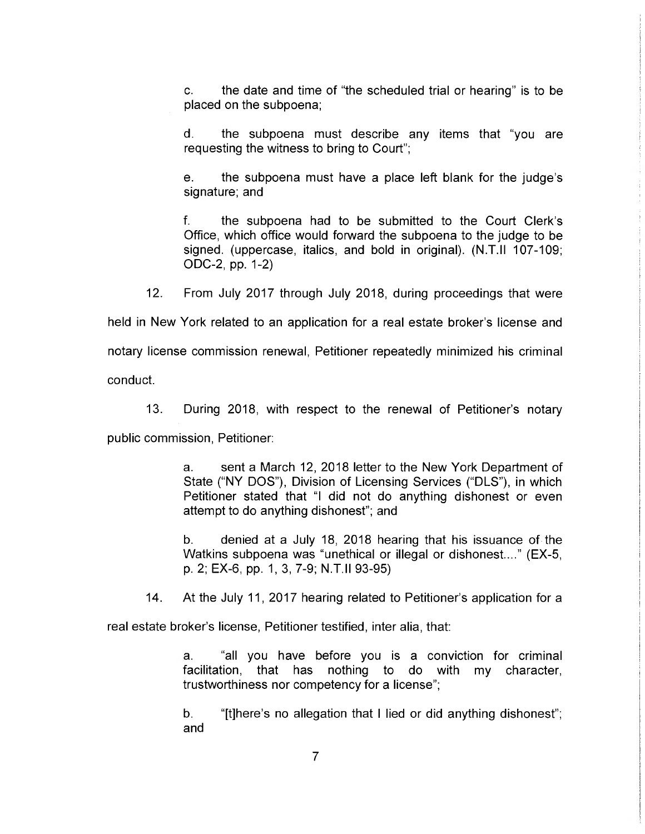C. the date and time of "the scheduled trial or hearing" is to be placed on the subpoena;

d. the subpoena must describe any items that "you are requesting the witness to bring to Court";

e. the subpoena must have a place left blank for the judge's signature; and

f. the subpoena had to be submitted to the Court Clerk's Office, which office would forward the subpoena to the judge to be signed. (uppercase, italics, and bold in original). (N.T.11 107-109; ODC-2, pp. 1-2)

12. From July 2017 through July 2018, during proceedings that were

held in New York related to an application for a real estate broker's license and

notary license commission renewal, Petitioner repeatedly minimized his criminal

conduct.

13. During 2018, with respect to the renewal of Petitioner's notary

public commission, Petitioner:

a. sent a March 12, 2018 letter to the New York Department of State ("NY DOS"), Division of Licensing Services ("DLS"), in which Petitioner stated that "I did not do anything dishonest or even attempt to do anything dishonest"; and

b. denied at a July 18, 2018 hearing that his issuance of-the Watkins subpoena was "unethical or illegal or dishonest...." (EX-5, p. 2; EX-6, pp. 1, 3, 7-9; N.T.11 93-95)

14. At the July 11, 2017 hearing related to Petitioner's application for a

real estate broker's license, Petitioner testified, inter alia, that:

a. "all you have before you is a conviction for criminal facilitation, that has nothing to do with my character, trustworthiness nor competency for a license";

b. "[t]here's no allegation that I lied or did anything dishonest"; and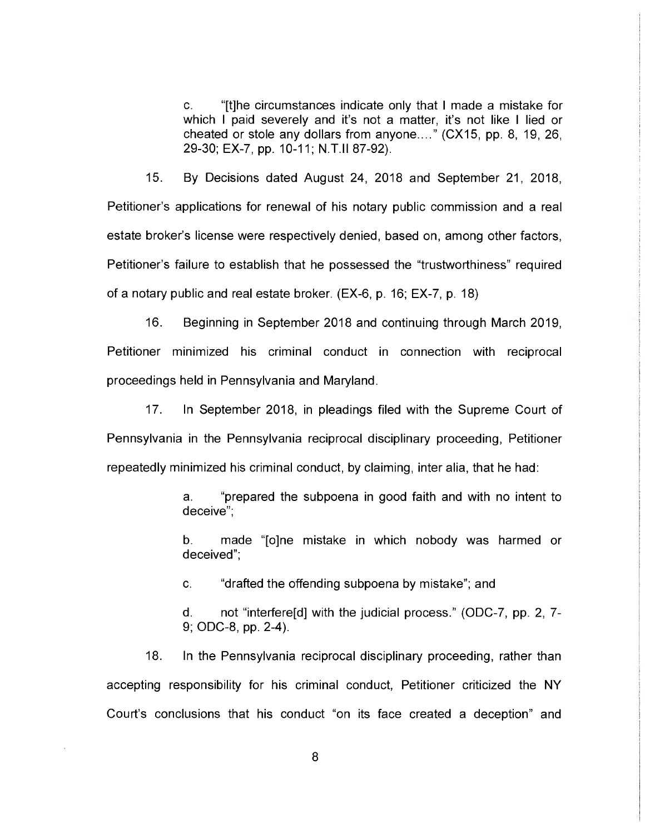C. "[t]he circumstances indicate only that I made a mistake for which I paid severely and it's not a matter, it's not like I lied or cheated or stole any dollars from anyone...." (CX15, pp. 8, 19, 26, 29-30; EX-7, pp. 10-11; N.T.II 87-92).

15. By Decisions dated August 24, 2018 and September 21, 2018, Petitioner's applications for renewal of his notary public commission and a real estate broker's license were respectively denied, based on, among other factors, Petitioner's failure to establish that he possessed the "trustworthiness" required of a notary public and real estate broker. (EX-6, p. 16; EX-7, p. 18)

16. Beginning in September 2018 and continuing through March 2019, Petitioner minimized his criminal conduct in connection with reciprocal proceedings held in Pennsylvania and Maryland.

17. In September 2018, in pleadings filed with the Supreme Court of Pennsylvania in the Pennsylvania reciprocal disciplinary proceeding, Petitioner repeatedly minimized his criminal conduct, by claiming, inter alia, that he had:

> a. "prepared the subpoena in good faith and with no intent to deceive";

> b. made "[o]ne mistake in which nobody was harmed or deceived";

C. "drafted the offending subpoena by mistake"; and

d. not "interfere[d] with the judicial process." (ODC-7, pp. 2, 7- 9; ODC-8, pp. 2-4).

18. In the Pennsylvania reciprocal disciplinary proceeding, rather than accepting responsibility for his criminal conduct, Petitioner criticized the NY Court's conclusions that his conduct "on its face created a deception" and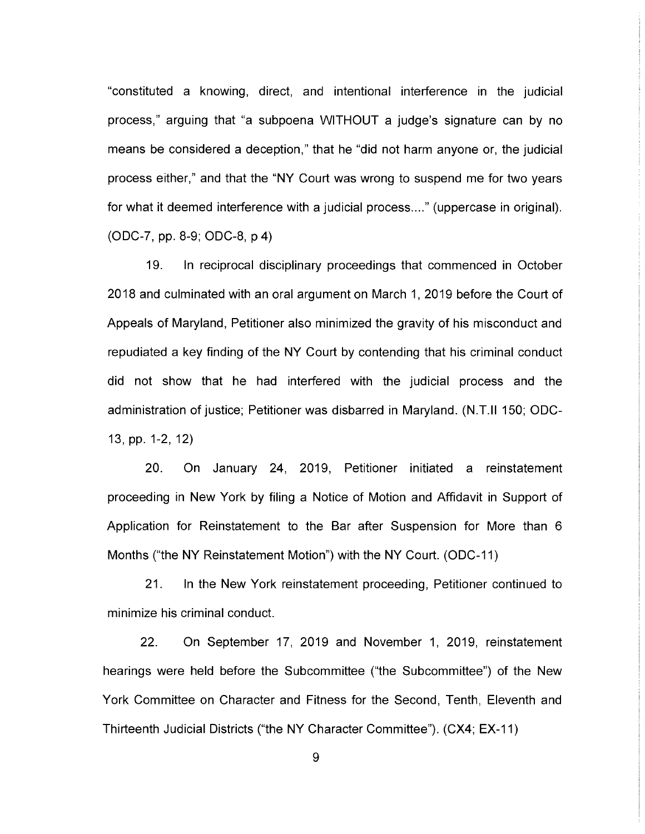"constituted a knowing, direct, and intentional interference in the judicial process," arguing that "a subpoena WITHOUT a judge's signature can by no means be considered a deception," that he "did not harm anyone or, the judicial process either," and that the "NY Court was wrong to suspend me for two years for what it deemed interference with a judicial process...." (uppercase in original). (ODC-7, pp. 8-9; ODC-8, p 4)

19. In reciprocal disciplinary proceedings that commenced in October 2018 and culminated with an oral argument on March 1, 2019 before the Court of Appeals of Maryland, Petitioner also minimized the gravity of his misconduct and repudiated a key finding of the NY Court by contending that his criminal conduct did not show that he had interfered with the judicial process and the administration of justice; Petitioner was disbarred in Maryland. (N.T.II 150, ODC-13, pp. 1-2, 12)

20. On January 24, 2019, Petitioner initiated a reinstatement proceeding in New York by filing a Notice of Motion and Affidavit in Support of Application for Reinstatement to the Bar after Suspension for More than 6 Months ("the NY Reinstatement Motion") with the NY Court. (ODC-11)

21. In the New York reinstatement proceeding, Petitioner continued to minimize his criminal conduct.

22. On September 17, 2019 and November 1, 2019, reinstatement hearings were held before the Subcommittee ("the Subcommittee") of the New York Committee on Character and Fitness for the Second, Tenth, Eleventh and Thirteenth Judicial Districts ("the NY Character Committee"). (CX4; EX-11)

9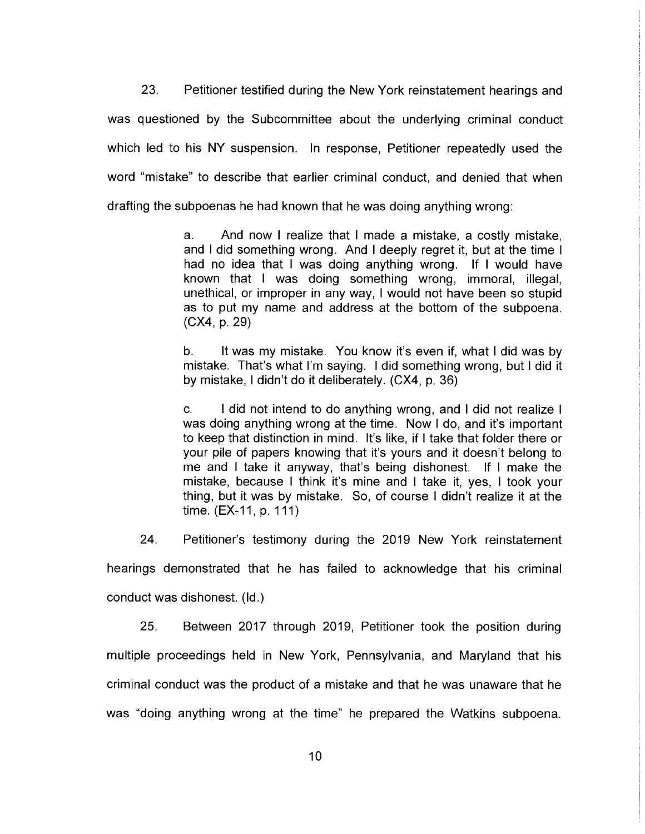23. Petitioner testified during the New York reinstatement hearings and was questioned by the Subcommittee about the underlying criminal conduct which led to his NY suspension. In response, Petitioner repeatedly used the word "mistake" to describe that earlier criminal conduct, and denied that when drafting the subpoenas he had known that he was doing anything wrong:

> a. And now I realize that I made a mistake, a costly mistake, and I did something wrong. And I deeply regret it, but at the time I had no idea that I was doing anything wrong. If I would have known that I was doing something wrong, immoral, illegal, unethical, or improper in any way, I would not have been so stupid as to put my name and address at the bottom of the subpoena. (CX4, p. 29)

> b. It was my mistake. You know it's even if, what I did was by mistake. That's what I'm saying. I did something wrong, but I did it by mistake, I didn't do it deliberately. (CX4, p. 36)

> C. I did not intend to do anything wrong, and I did not realize I was doing anything wrong at the time. Now I do, and it's important to keep that distinction in mind. It's like, if I take that folder there or your pile of papers knowing that it's yours and it doesn't belong to me and I take it anyway, that's being dishonest. If I make the mistake, because I think it's mine and I take it, yes, I took your thing, but it was by mistake. So, of course I didn't realize it at the time. (EX-11, p. 111)

hearings demonstrated that he has failed to acknowledge that his criminal conduct was dishonest. (Id.)

24. Petitioner's testimony during the 2019 New York reinstatement

25. Between 2017 through 2019, Petitioner took the position during multiple proceedings held in New York, Pennsylvania, and Maryland that his criminal conduct was the product of a mistake and that he was unaware that he was "doing anything wrong at the time" he prepared the Watkins subpoena.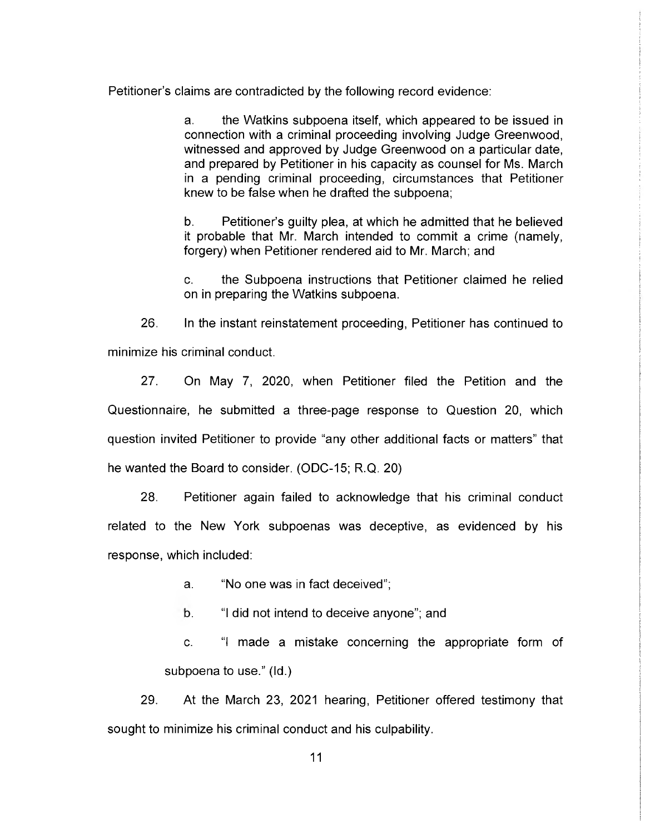Petitioner's claims are contradicted by the following record evidence:

a. the Watkins subpoena itself, which appeared to be issued in connection with a criminal proceeding involving Judge Greenwood, witnessed and approved by Judge Greenwood on a particular date, and prepared by Petitioner in his capacity as counsel for Ms. March in a pending criminal proceeding, circumstances that Petitioner knew to be false when he drafted the subpoena,

b. Petitioner's guilty plea, at which he admitted that he believed it probable that Mr. March intended to commit a crime (namely, forgery) when Petitioner rendered aid to Mr. March; and

C. the Subpoena instructions that Petitioner claimed he relied on in preparing the Watkins subpoena.

26. In the instant reinstatement proceeding, Petitioner has continued to minimize his criminal conduct.

27. On May 7, 2020, when Petitioner filed the Petition and the Questionnaire, he submitted a three-page response to Question 20, which question invited Petitioner to provide "any other additional facts or matters" that he wanted the Board to consider. (ODC-15; R.Q. 20)

28. Petitioner again failed to acknowledge that his criminal conduct related to the New York subpoenas was deceptive, as evidenced by his response, which included:

a. "No one was in fact deceived";

b. "I did not intend to deceive anyone"; and

C. "I made a mistake concerning the appropriate form of subpoena to use." (Id.)

29. At the March 23, 2021 hearing, Petitioner offered testimony that sought to minimize his criminal conduct and his culpability.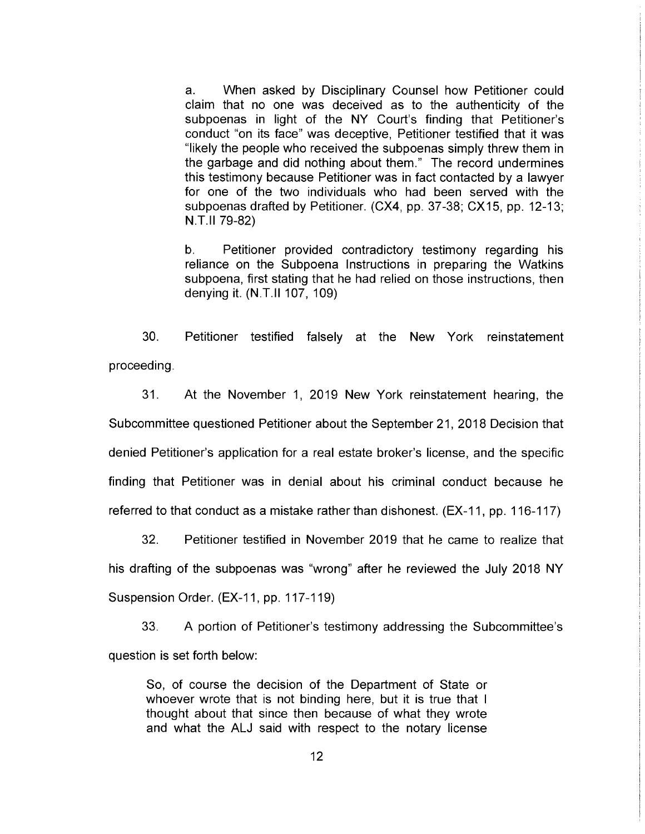a. When asked by Disciplinary Counsel how Petitioner could claim that no one was deceived as to the authenticity of the subpoenas in light of the NY Court's finding that Petitioner's conduct "on its face" was deceptive, Petitioner testified that it was "likely the people who received the subpoenas simply threw them in the garbage and did nothing about them." The record undermines this testimony because Petitioner was in fact contacted by a lawyer for one of the two individuals who had been served with the subpoenas drafted by Petitioner. (CX4, pp. 37-38; CX15, pp. 12-13; N.T.11 79-82)

b. Petitioner provided contradictory testimony regarding his reliance on the Subpoena Instructions in preparing the Watkins subpoena, first stating that he had relied on those instructions, then denying it. (N.T.11 107, 109)

30. Petitioner testified falsely at the New York reinstatement proceeding.

31. At the November 1, 2019 New York reinstatement hearing, the Subcommittee questioned Petitioner about the September 21, 2018 Decision that denied Petitioner's application for a real estate broker's license, and the specific finding that Petitioner was in denial about his criminal conduct because he referred to that conduct as a mistake rather than dishonest. (EX-11, pp. 116-117)

32. Petitioner testified in November 2019 that he came to realize that his drafting of the subpoenas was "wrong" after he reviewed the July 2018 NY Suspension Order. (EX-11, pp. 117-119)

33. A portion of Petitioner's testimony addressing the Subcommittee's question is set forth below:

So, of course the decision of the Department of State or whoever wrote that is not binding here, but it is true that I thought about that since then because of what they wrote and what the ALJ said with respect to the notary license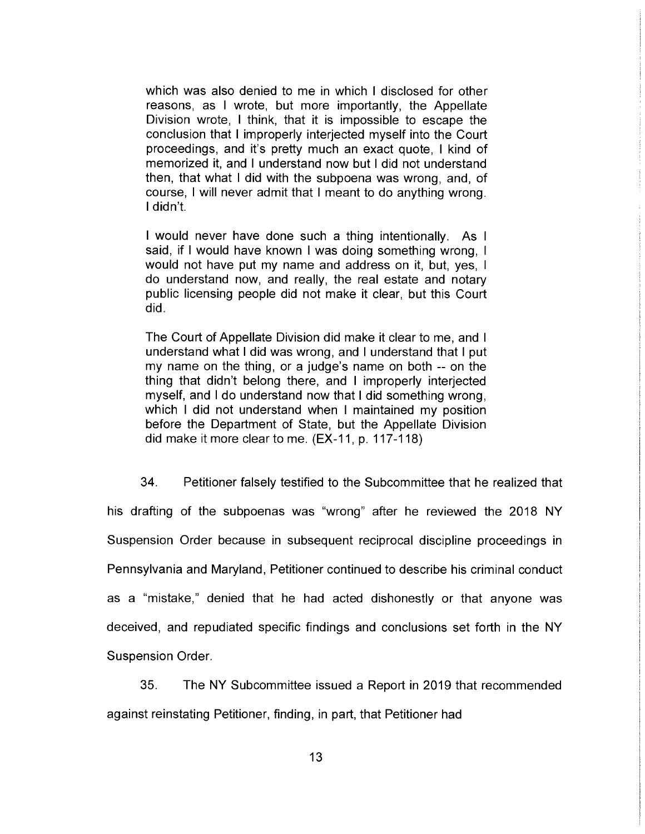which was also denied to me in which I disclosed for other reasons, as I wrote, but more importantly, the Appellate Division wrote, I think, that it is impossible to escape the conclusion that I improperly interjected myself into the Court proceedings, and it's pretty much an exact quote, I kind of memorized it, and I understand now but I did not understand then, that what I did with the subpoena was wrong, and, of course, I will never admit that I meant to do anything wrong. didn't.

I would never have done such a thing intentionally. As I said, if I would have known I was doing something wrong, I would not have put my name and address on it, but, yes, do understand now, and really, the real estate and notary public licensing people did not make it clear, but this Court did.

The Court of Appellate Division did make it clear to me, and understand what I did was wrong, and I understand that I put my name on the thing, or a judge's name on both -- on the thing that didn't belong there, and I improperly interjected myself, and I do understand now that I did something wrong, which I did not understand when I maintained my position before the Department of State, but the Appellate Division did make it more clear to me. (EX-11, p. 117-118)

34. Petitioner falsely testified to the Subcommittee that he realized that his drafting of the subpoenas was "wrong" after he reviewed the 2018 NY Suspension Order because in subsequent reciprocal discipline proceedings in Pennsylvania and Maryland, Petitioner continued to describe his criminal conduct as a "mistake," denied that he had acted dishonestly or that anyone was deceived, and repudiated specific findings and conclusions set forth in the NY Suspension Order.

35. The NY Subcommittee issued a Report in 2019 that recommended

against reinstating Petitioner, finding, in part, that Petitioner had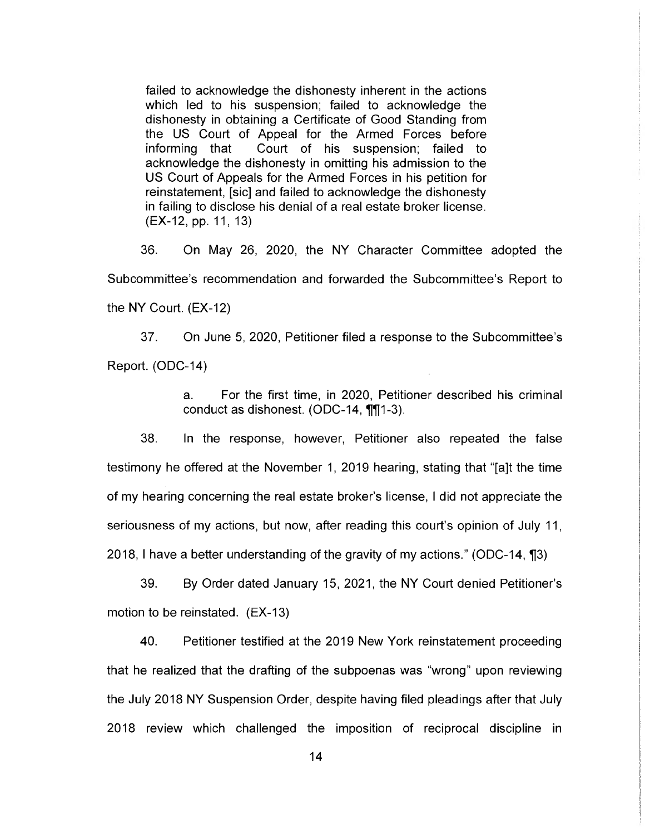failed to acknowledge the dishonesty inherent in the actions which led to his suspension; failed to acknowledge the dishonesty in obtaining a Certificate of Good Standing from the US Court of Appeal for the Armed Forces before informing that Court of his suspension; failed to acknowledge the dishonesty in omitting his admission to the US Court of Appeals for the Armed Forces in his petition for reinstatement, [sic] and failed to acknowledge the dishonesty in failing to disclose his denial of a real estate broker license. (EX-12, pp. 11, 13)

36. On May 26, 2020, the NY Character Committee adopted the Subcommittee's recommendation and forwarded the Subcommittee's Report to the NY Court. (EX-12)

37. On June 5, 2020, Petitioner filed a response to the Subcommittee's Report. (ODC-14)

> a. For the first time, in 2020, Petitioner described his criminal conduct as dishonest. (ODC-14, ¶¶1-3).

38. In the response, however, Petitioner also repeated the false testimony he offered at the November 1, 2019 hearing, stating that "[a]t the time of my hearing concerning the real estate broker's license, I did not appreciate the seriousness of my actions, but now, after reading this court's opinion of July 11, 2018, 1 have a better understanding of the gravity of my actions." (ODC-14, ¶3)

39. By Order dated January 15, 2021, the NY Court denied Petitioner's motion to be reinstated. (EX-13)

40. Petitioner testified at the 2019 New York reinstatement proceeding that he realized that the drafting of the subpoenas was "wrong" upon reviewing the July 2018 NY Suspension Order, despite having filed pleadings after that July 2018 review which challenged the imposition of reciprocal discipline in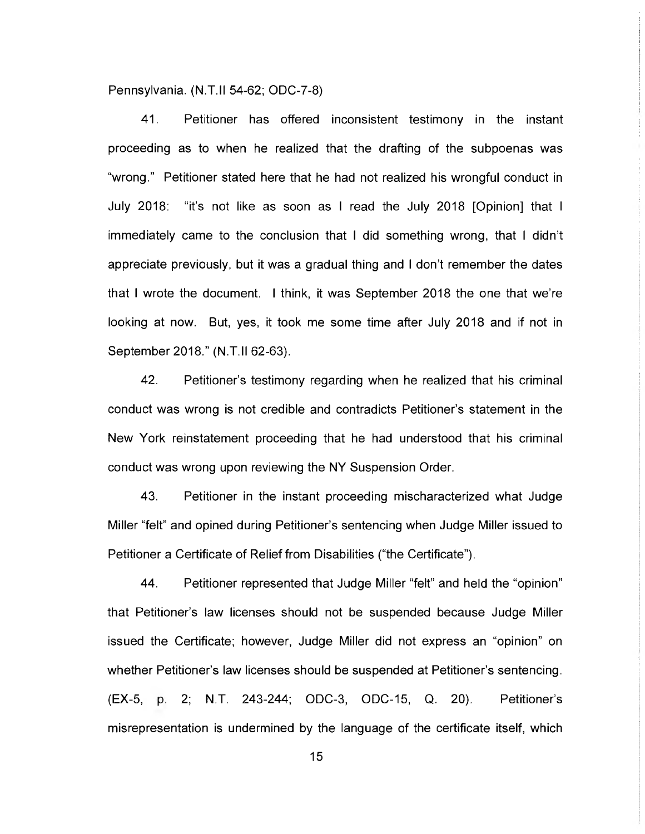Pennsylvania. (N.T.II 54-62; ODC-7-8)

41. Petitioner has offered inconsistent testimony in the instant proceeding as to when he realized that the drafting of the subpoenas was "wrong." Petitioner stated here that he had not realized his wrongful conduct in July 2018: "it's not like as soon as I read the July 2018 [Opinion] that I immediately came to the conclusion that I did something wrong, that I didn't appreciate previously, but it was a gradual thing and I don't remember the dates that I wrote the document. I think, it was September 2018 the one that we're looking at now. But, yes, it took me some time after July 2018 and if not in September 2018." (N.T.II 62-63).

42. Petitioner's testimony regarding when he realized that his criminal conduct was wrong is not credible and contradicts Petitioner's statement in the New York reinstatement proceeding that he had understood that his criminal conduct was wrong upon reviewing the NY Suspension Order.

43. Petitioner in the instant proceeding mischaracterized what Judge Miller "felt" and opined during Petitioner's sentencing when Judge Miller issued to Petitioner a Certificate of Relief from Disabilities ("the Certificate").

44. Petitioner represented that Judge Miller "felt" and held the "opinion" that Petitioner's law licenses should not be suspended because Judge Miller issued the Certificate; however, Judge Miller did not express an "opinion" on whether Petitioner's law licenses should be suspended at Petitioner's sentencing. (EX-5, p. 2; N.T. 243-244; ODC-3, ODC-15, Q. 20). Petitioner's misrepresentation is undermined by the language of the certificate itself, which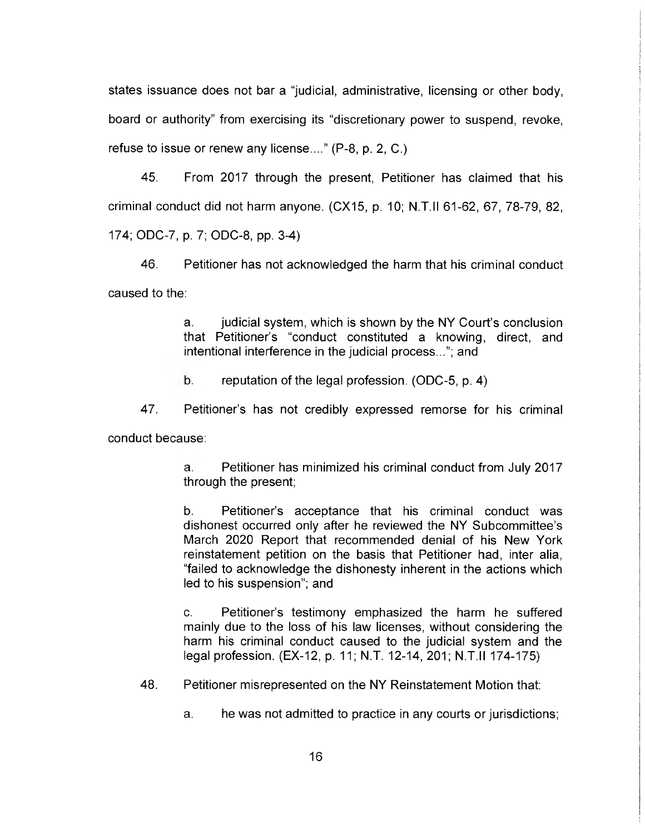states issuance does not bar a "judicial, administrative, licensing or other body, board or authority" from exercising its "discretionary power to suspend, revoke, refuse to issue or renew any license...." (P-8, p. 2, C.)

45. From 2017 through the present, Petitioner has claimed that his criminal conduct did not harm anyone. (CX15, p. 10; N.T.II 61-62, 67, 78-79, 82, 174; ODC-7, p. 7; ODC-8, pp. 3-4)

46. Petitioner has not acknowledged the harm that his criminal conduct caused to the:

> a. judicial system, which is shown by the NY Court's conclusion that Petitioner's "conduct constituted a knowing, direct, and intentional interference in the judicial process..."; and

b. reputation of the legal profession. (ODC-5, p. 4)

47. Petitioner's has not credibly expressed remorse for his criminal

conduct because:

a. Petitioner has minimized his criminal conduct from July 2017 through the present;

b. Petitioner's acceptance that his criminal conduct was dishonest occurred only after he reviewed the NY Subcommittee's March 2020 Report that recommended denial of his New York reinstatement petition on the basis that Petitioner had, inter alia, "failed to acknowledge the dishonesty inherent in the actions which led to his suspension"; and

C. Petitioner's testimony emphasized the harm he suffered mainly due to the loss of his law licenses, without considering the harm his criminal conduct caused to the judicial system and the legal profession. (EX-12, p. 11; N.T. 12-14, 201; N.T.II 174-175)

48. Petitioner misrepresented on the NY Reinstatement Motion that:

a. he was not admitted to practice in any courts or jurisdictions;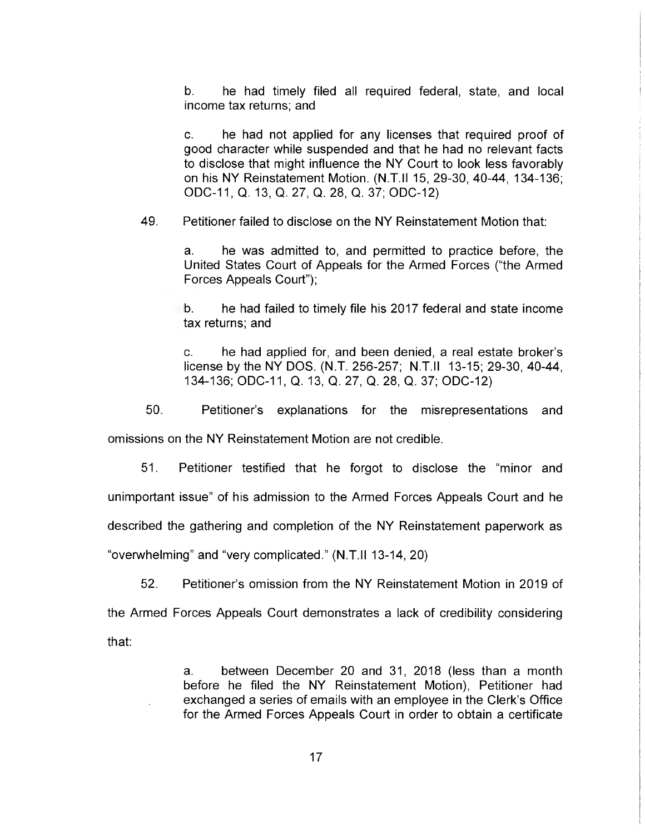b. he had timely filed all required federal, state, and local income tax returns; and

C. he had not applied for any licenses that required proof of good character while suspended and that he had no relevant facts to disclose that might influence the NY Court to look less favorably on his NY Reinstatement Motion. (N.T.II 15, 29-30, 40-44, 134-136; ODC-11, Q. 13, Q. 27, Q. 28, Q. 37; ODC-12)

49. Petitioner failed to disclose on the NY Reinstatement Motion that:

a. he was admitted to, and permitted to practice before, the United States Court of Appeals for the Armed Forces ("the Armed Forces Appeals Court");

b. he had failed to timely file his 2017 federal and state income tax returns; and

C. he had applied for, and been denied, a real estate broker's license by the NY DOS. (N.T. 256-257; N.T.II 13-15; 29-30, 40-44, 134-136; ODC-11, Q. 13, Q. 27, Q. 28, Q. 37; ODC-12)

50. Petitioner's explanations for the misrepresentations and

omissions on the NY Reinstatement Motion are not credible.

51. Petitioner testified that he forgot to disclose the "minor and unimportant issue" of his admission to the Armed Forces Appeals Court and he described the gathering and completion of the NY Reinstatement paperwork as

"overwhelming" and "very complicated." (N.T.II 13-14, 20)

52. Petitioner's omission from the NY Reinstatement Motion in 2019 of

the Armed Forces Appeals Court demonstrates a lack of credibility considering that:

> a. between December 20 and 31, 2018 (less than a month before he filed the NY Reinstatement Motion), Petitioner had exchanged a series of emails with an employee in the Clerk's Office for the Armed Forces Appeals Court in order to obtain a certificate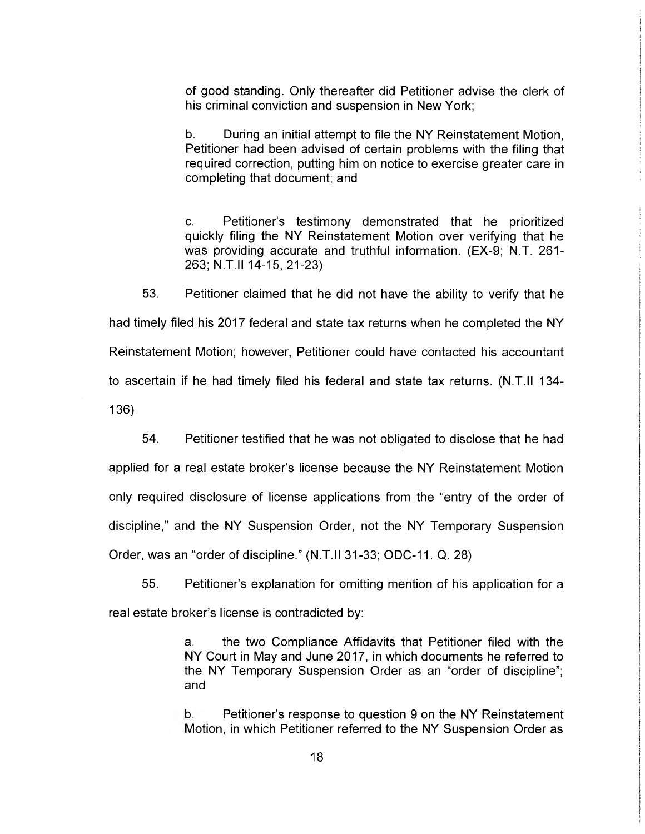of good standing. Only thereafter did Petitioner advise the clerk of his criminal conviction and suspension in New York;

b. During an initial attempt to file the NY Reinstatement Motion, Petitioner had been advised of certain problems with the filing that required correction, putting him on notice to exercise greater care in completing that document; and

C. Petitioner's testimony demonstrated that he prioritized quickly filing the NY Reinstatement Motion over verifying that he was providing accurate and truthful information. (EX-9; N.T. 261- 263; N.T.II 14-15, 21-23)

53. Petitioner claimed that he did not have the ability to verify that he had timely filed his 2017 federal and state tax returns when he completed the NY Reinstatement Motion; however, Petitioner could have contacted his accountant to ascertain if he had timely filed his federal and state tax returns. (N.T.II 134- 136)

54. Petitioner testified that he was not obligated to disclose that he had

applied for a real estate broker's license because the NY Reinstatement Motion only required disclosure of license applications from the "entry of the order of discipline," and the NY Suspension Order, not the NY Temporary Suspension Order, was an "order of discipline." (N.T.II 31-33; ODC-11. Q. 28)

55. Petitioner's explanation for omitting mention of his application for a real estate broker's license is contradicted by:

> a. the two Compliance Affidavits that Petitioner filed with the NY Court in May and June 2017, in which documents he referred to the NY Temporary Suspension Order as an "order of discipline"; and

> b. Petitioner's response to question 9 on the NY Reinstatement Motion, in which Petitioner referred to the NY Suspension Order as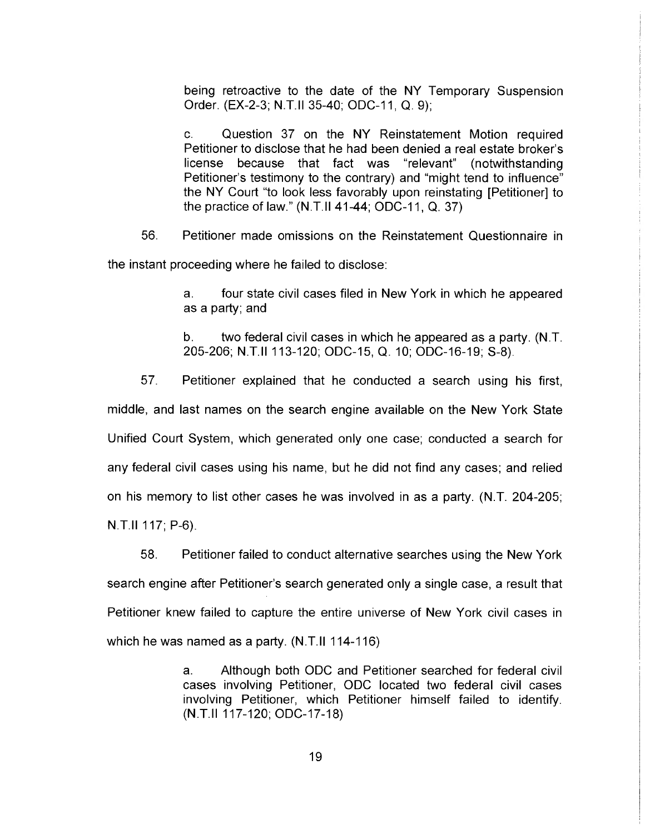being retroactive to the date of the NY Temporary Suspension Order. (EX-2-3; N.T.11 35-40; ODC-11, Q. 9);

C. Question 37 on the NY Reinstatement Motion required Petitioner to disclose that he had been denied a real estate broker's license because that fact was "relevant" (notwithstanding Petitioner's testimony to the contrary) and "might tend to influence" the NY Court "to look less favorably upon reinstating [Petitioner] to the practice of law." (N.T.11 41-44; ODC-11, Q. 37)

56. Petitioner made omissions on the Reinstatement Questionnaire in

the instant proceeding where he failed to disclose:

a. four state civil cases filed in New York in which he appeared as a party; and

b. two federal civil cases in which he appeared as a party. (N.T. 205-206; N.T.11 113-120; ODC-15, Q. 10; ODC-16-19; S-8).

57. Petitioner explained that he conducted a search using his first,

middle, and last names on the search engine available on the New York State Unified Court System, which generated only one case; conducted a search for any federal civil cases using his name, but he did not find any cases; and relied on his memory to list other cases he was involved in as a party. (N.T. 204-205; N.T.11 117; P-6).

58. Petitioner failed to conduct alternative searches using the New York search engine after Petitioner's search generated only a single case, a result that Petitioner knew failed to capture the entire universe of New York civil cases in which he was named as a party. (N.T.11 114-116)

> a. Although both ODC and Petitioner searched for federal civil cases involving Petitioner, ODC located two federal civil cases involving Petitioner, which Petitioner himself failed to identify. (N.T.11 117-120; ODC-17-18)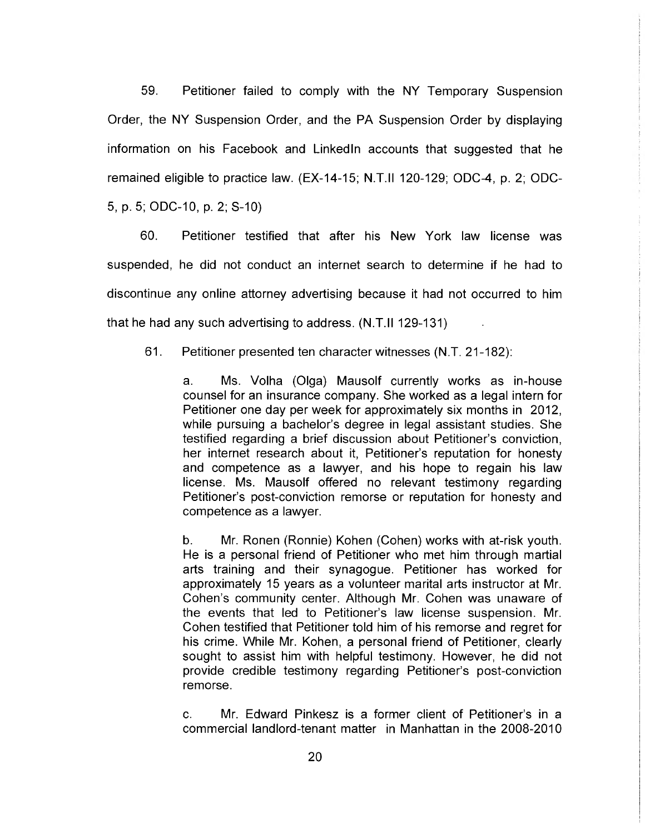59. Petitioner failed to comply with the NY Temporary Suspension Order, the NY Suspension Order, and the PA Suspension Order by displaying information on his Facebook and Linkedln accounts that suggested that he remained eligible to practice law. (EX-14-15; N.T.II 120-129; ODC-4, p. 2; ODC-5, p. 5; ODC-10, p. 2; S-10)

60. Petitioner testified that after his New York law license was suspended, he did not conduct an internet search to determine if he had to discontinue any online attorney advertising because it had not occurred to him that he had any such advertising to address. (N.T.II 129-131)

61. Petitioner presented ten character witnesses (N.T. 21-182):

a. Ms. Volha (Olga) Mausolf currently works as in-house counsel for an insurance company. She worked as a legal intern for Petitioner one day per week for approximately six months in 2012, while pursuing a bachelor's degree in legal assistant studies. She testified regarding a brief discussion about Petitioner's conviction, her internet research about it, Petitioner's reputation for honesty and competence as a lawyer, and his hope to regain his law license. Ms. Mausolf offered no relevant testimony regarding Petitioner's post-conviction remorse or reputation for honesty and competence as a lawyer.

b. Mr. Ronen (Ronnie) Kohen (Cohen) works with at-risk youth. He is a personal friend of Petitioner who met him through martial arts training and their synagogue. Petitioner has worked for approximately 15 years as a volunteer marital arts instructor at Mr. Cohen's community center. Although Mr. Cohen was unaware of the events that led to Petitioner's law license suspension. Mr. Cohen testified that Petitioner told him of his remorse and regret for his crime. While Mr. Kohen, a personal friend of Petitioner, clearly sought to assist him with helpful testimony. However, he did not provide credible testimony regarding Petitioner's post-conviction remorse.

C. Mr. Edward Pinkesz is a former client of Petitioner's in a commercial landlord-tenant matter in Manhattan in the 2008-2010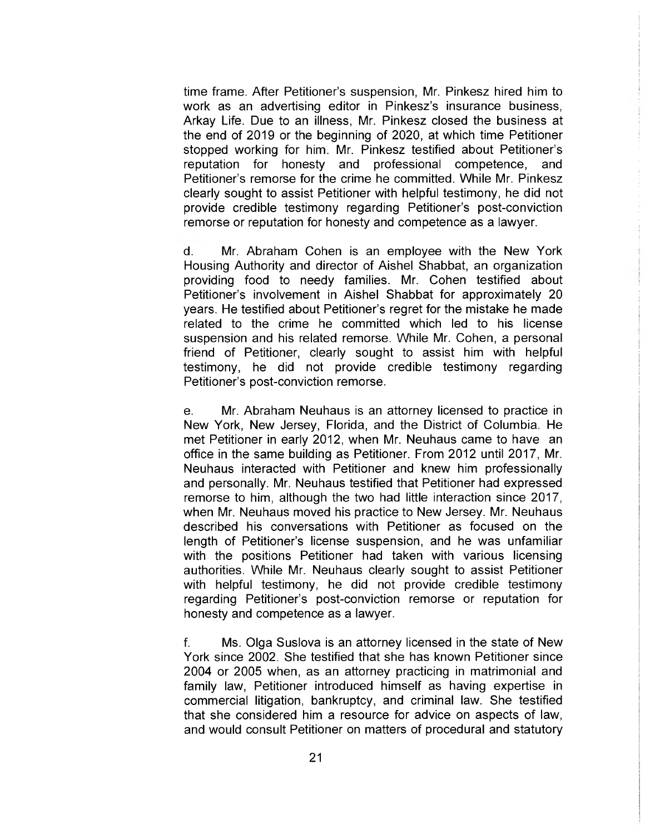time frame. After Petitioner's suspension, Mr. Pinkesz hired him to work as an advertising editor in Pinkesz's insurance business, Arkay Life. Due to an illness, Mr. Pinkesz closed the business at the end of 2019 or the beginning of 2020, at which time Petitioner stopped working for him. Mr. Pinkesz testified about Petitioner's reputation for honesty and professional competence, and Petitioner's remorse for the crime he committed. While Mr. Pinkesz clearly sought to assist Petitioner with helpful testimony, he did not provide credible testimony regarding Petitioner's post-conviction remorse or reputation for honesty and competence as a lawyer.

d. Mr. Abraham Cohen is an employee with the New York Housing Authority and director of Aishel Shabbat, an organization providing food to needy families. Mr. Cohen testified about Petitioner's involvement in Aishel Shabbat for approximately 20 years. He testified about Petitioner's regret for the mistake he made related to the crime he committed which led to his license suspension and his related remorse. While Mr. Cohen, a personal friend of Petitioner, clearly sought to assist him with helpful testimony, he did not provide credible testimony regarding Petitioner's post-conviction remorse.

e. Mr. Abraham Neuhaus is an attorney licensed to practice in New York, New Jersey, Florida, and the District of Columbia. He met Petitioner in early 2012, when Mr. Neuhaus came to have an office in the same building as Petitioner. From 2012 until 2017, Mr. Neuhaus interacted with Petitioner and knew him professionally and personally. Mr. Neuhaus testified that Petitioner had expressed remorse to him, although the two had little interaction since 2017, when Mr. Neuhaus moved his practice to New Jersey. Mr. Neuhaus described his conversations with Petitioner as focused on the length of Petitioner's license suspension, and he was unfamiliar with the positions Petitioner had taken with various licensing authorities. While Mr. Neuhaus clearly sought to assist Petitioner with helpful testimony, he did not provide credible testimony regarding Petitioner's post-conviction remorse or reputation for honesty and competence as a lawyer.

f. Ms. Olga Suslova is an attorney licensed in the state of New York since 2002. She testified that she has known Petitioner since 2004 or 2005 when, as an attorney practicing in matrimonial and family law, Petitioner introduced himself as having expertise in commercial litigation, bankruptcy, and criminal law. She testified that she considered him a resource for advice on aspects of law, and would consult Petitioner on matters of procedural and statutory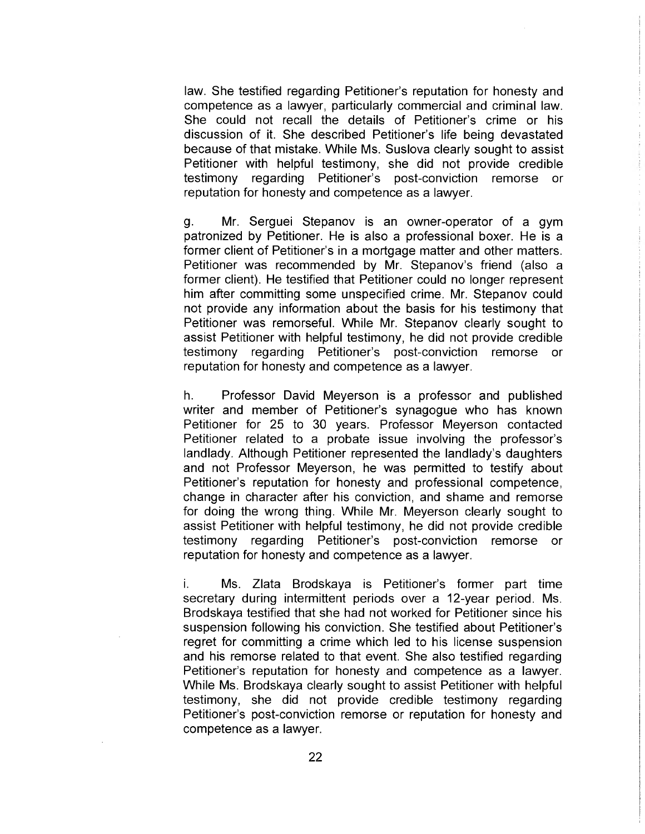law. She testified regarding Petitioner's reputation for honesty and competence as a lawyer, particularly commercial and criminal law. She could not recall the details of Petitioner's crime or his discussion of it. She described Petitioner's life being devastated because of that mistake. While Ms. Suslova clearly sought to assist Petitioner with helpful testimony, she did not provide credible testimony regarding Petitioner's post-conviction remorse or reputation for honesty and competence as a lawyer.

g. Mr. Serguei Stepanov is an owner-operator of a gym patronized by Petitioner. He is also a professional boxer. He is a former client of Petitioner's in a mortgage matter and other matters. Petitioner was recommended by Mr. Stepanov's friend (also a former client). He testified that Petitioner could no longer represent him after committing some unspecified crime. Mr. Stepanov could not provide any information about the basis for his testimony that Petitioner was remorseful. While Mr. Stepanov clearly sought to assist Petitioner with helpful testimony, he did not provide credible testimony regarding Petitioner's post-conviction remorse or reputation for honesty and competence as a lawyer.

h. Professor David Meyerson is a professor and published writer and member of Petitioner's synagogue who has known Petitioner for 25 to 30 years. Professor Meyerson contacted Petitioner related to a probate issue involving the professor's landlady. Although Petitioner represented the landlady's daughters and not Professor Meyerson, he was permitted to testify about Petitioner's reputation for honesty and professional competence, change in character after his conviction, and shame and remorse for doing the wrong thing. While Mr. Meyerson clearly sought to assist Petitioner with helpful testimony, he did not provide credible testimony regarding Petitioner's post-conviction remorse or reputation for honesty and competence as a lawyer.

i. Ms. Zlata Brodskaya is Petitioner's former part time secretary during intermittent periods over a 12-year period. Ms. Brodskaya testified that she had not worked for Petitioner since his suspension following his conviction. She testified about Petitioner's regret for committing a crime which led to his license suspension and his remorse related to that event. She also testified regarding Petitioner's reputation for honesty and competence as a lawyer. While Ms. Brodskaya clearly sought to assist Petitioner with helpful testimony, she did not provide credible testimony regarding Petitioner's post-conviction remorse or reputation for honesty and competence as a lawyer.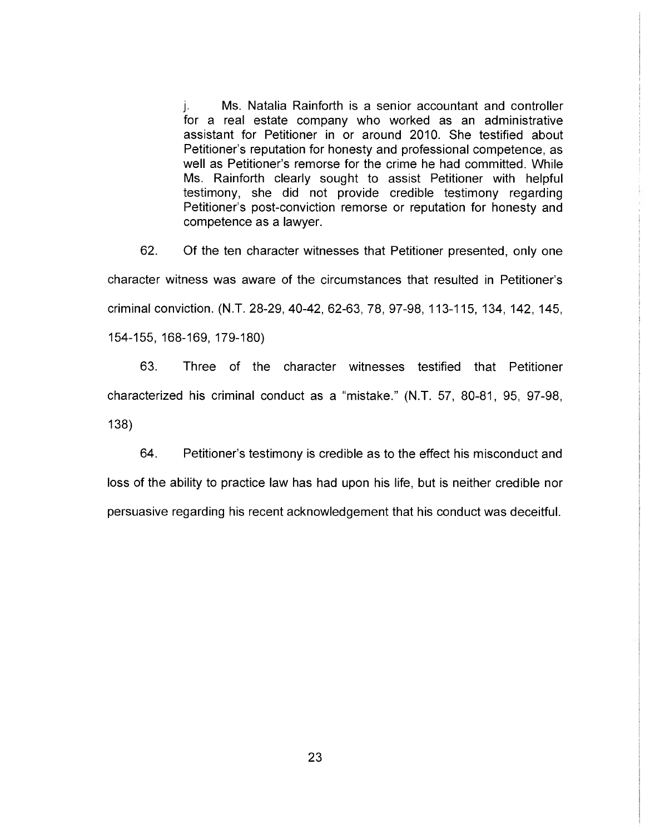j. Ms. Natalia Rainforth is a senior accountant and controller for a real estate company who worked as an administrative assistant for Petitioner in or around 2010. She testified about Petitioner's reputation for honesty and professional competence, as well as Petitioner's remorse for the crime he had committed. While Ms. Rainforth clearly sought to assist Petitioner with helpful testimony, she did not provide credible testimony regarding Petitioner's post-conviction remorse or reputation for honesty and competence as a lawyer.

62. Of the ten character witnesses that Petitioner presented, only one character witness was aware of the circumstances that resulted in Petitioner's criminal conviction. (N.T. 28-29, 40-42, 62-63, 78, 97-98, 113-115, 134, 142, 145, 154-155, 168-169, 179-180)

63. Three of the character witnesses testified that Petitioner characterized his criminal conduct as a "mistake." (N.T. 57, 80-81, 95, 97-98, 138)

64. Petitioner's testimony is credible as to the effect his misconduct and loss of the ability to practice law has had upon his life, but is neither credible nor persuasive regarding his recent acknowledgement that his conduct was deceitful.

23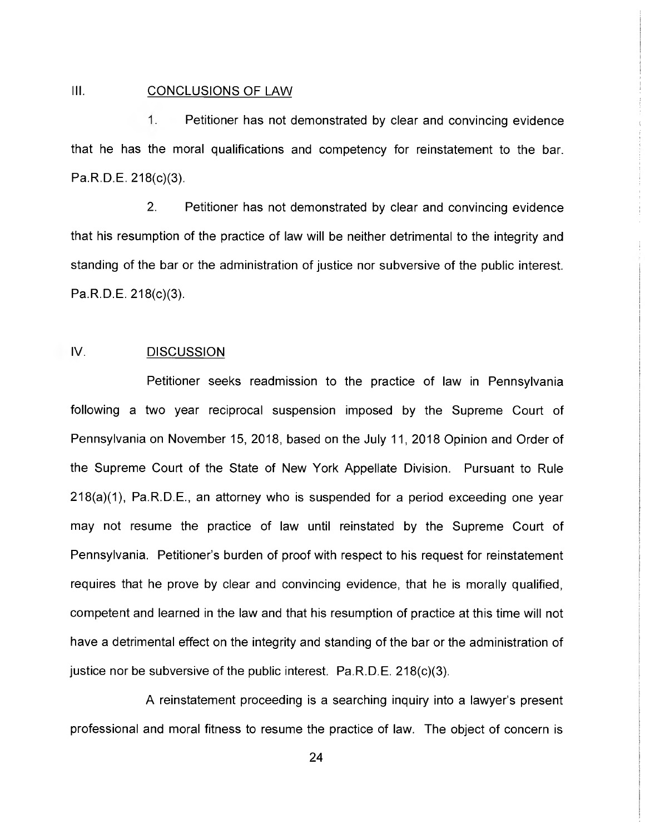#### III. CONCLUSIONS OF LAW

1. Petitioner has not demonstrated by clear and convincing evidence that he has the moral qualifications and competency for reinstatement to the bar. Pa.R.D.E. 218(c)(3).

2. Petitioner has not demonstrated by clear and convincing evidence that his resumption of the practice of law will be neither detrimental to the integrity and standing of the bar or the administration of justice nor subversive of the public interest. Pa.R.D.E. 218(c)(3).

### IV. DISCUSSION

Petitioner seeks readmission to the practice of law in Pennsylvania following a two year reciprocal suspension imposed by the Supreme Court of Pennsylvania on November 15, 2018, based on the July 11, 2018 Opinion and Order of the Supreme Court of the State of New York Appellate Division. Pursuant to Rule 218(a)(1), Pa.R.D.E., an attorney who is suspended for a period exceeding one year may not resume the practice of law until reinstated by the Supreme Court of Pennsylvania. Petitioner's burden of proof with respect to his request for reinstatement requires that he prove by clear and convincing evidence, that he is morally qualified, competent and learned in the law and that his resumption of practice at this time will not have a detrimental effect on the integrity and standing of the bar or the administration of justice nor be subversive of the public interest. Pa.R.D.E. 218(c)(3).

A reinstatement proceeding is a searching inquiry into a lawyer's present professional and moral fitness to resume the practice of law. The object of concern is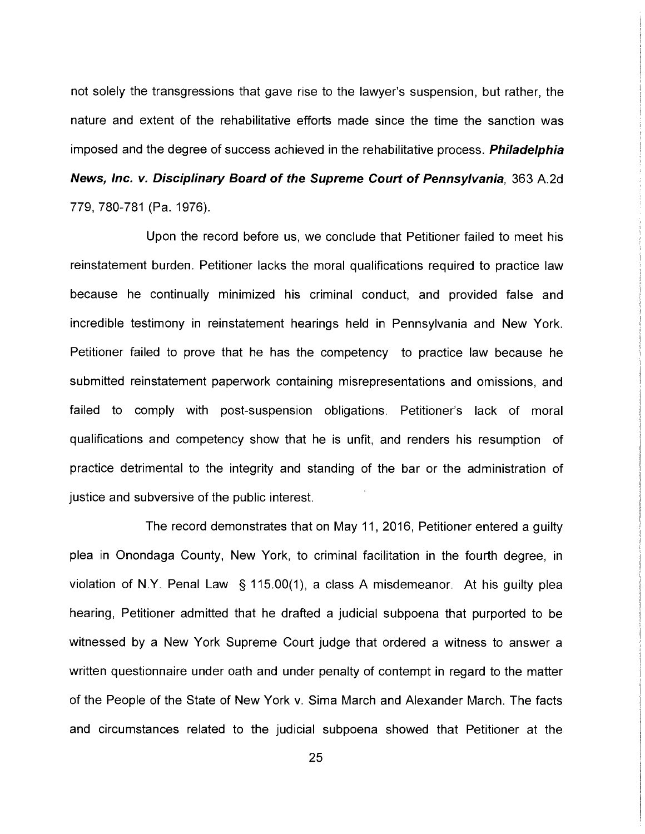not solely the transgressions that gave rise to the lawyer's suspension, but rather, the nature and extent of the rehabilitative efforts made since the time the sanction was imposed and the degree of success achieved in the rehabilitative process. **Philadelphia** News, Inc. v. Disciplinary Board of the Supreme Court of Pennsylvania, 363 A.2d 779, 780-781 (Pa. 1976).

Upon the record before us, we conclude that Petitioner failed to meet his reinstatement burden. Petitioner lacks the moral qualifications required to practice law because he continually minimized his criminal conduct, and provided false and incredible testimony in reinstatement hearings held in Pennsylvania and New York. Petitioner failed to prove that he has the competency to practice law because he submitted reinstatement paperwork containing misrepresentations and omissions, and failed to comply with post-suspension obligations. Petitioner's lack of moral qualifications and competency show that he is unfit, and renders his resumption of practice detrimental to the integrity and standing of the bar or the administration of justice and subversive of the public interest.

The record demonstrates that on May 11, 2016, Petitioner entered a guilty plea in Onondaga County, New York, to criminal facilitation in the fourth degree, in violation of N.Y. Penal Law § 115.00(1), a class A misdemeanor. At his guilty plea hearing, Petitioner admitted that he drafted a judicial subpoena that purported to be witnessed by a New York Supreme Court judge that ordered a witness to answer a written questionnaire under oath and under penalty of contempt in regard to the matter of the People of the State of New York v. Sima March and Alexander March. The facts and circumstances related to the judicial subpoena showed that Petitioner at the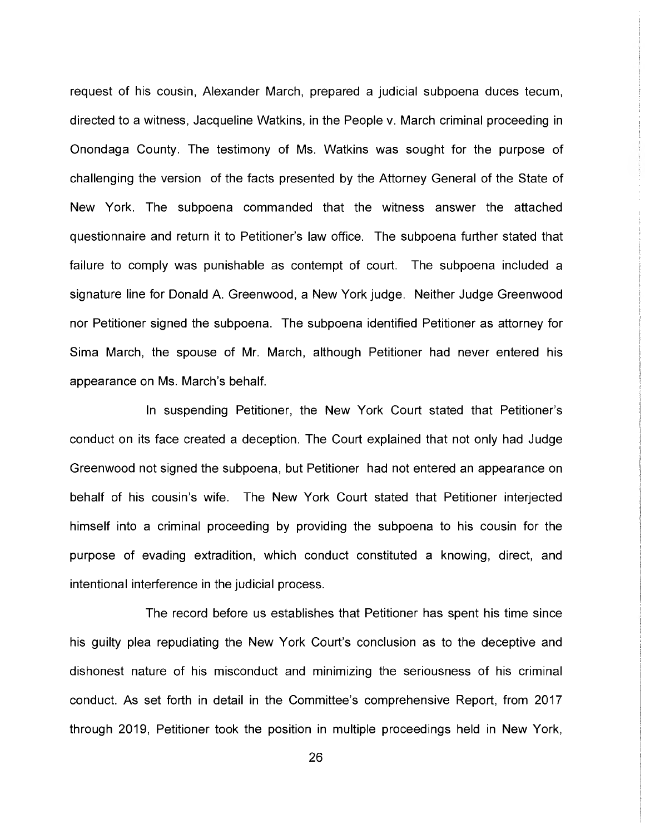request of his cousin, Alexander March, prepared a judicial subpoena duces tecum, directed to a witness, Jacqueline Watkins, in the People v. March criminal proceeding in Onondaga County. The testimony of Ms. Watkins was sought for the purpose of challenging the version of the facts presented by the Attorney General of the State of New York. The subpoena commanded that the witness answer the attached questionnaire and return it to Petitioner's law office. The subpoena further stated that failure to comply was punishable as contempt of court. The subpoena included a signature line for Donald A. Greenwood, a New York judge. Neither Judge Greenwood nor Petitioner signed the subpoena. The subpoena identified Petitioner as attorney for Sima March, the spouse of Mr. March, although Petitioner had never entered his appearance on Ms. March's behalf.

In suspending Petitioner, the New York Court stated that Petitioner's conduct on its face created a deception. The Court explained that not only had Judge Greenwood not signed the subpoena, but Petitioner had not entered an appearance on behalf of his cousin's wife. The New York Court stated that Petitioner interjected himself into a criminal proceeding by providing the subpoena to his cousin for the purpose of evading extradition, which conduct constituted a knowing, direct, and intentional interference in the judicial process.

The record before us establishes that Petitioner has spent his time since his guilty plea repudiating the New York Court's conclusion as to the deceptive and dishonest nature of his misconduct and minimizing the seriousness of his criminal conduct. As set forth in detail in the Committee's comprehensive Report, from 2017 through 2019, Petitioner took the position in multiple proceedings held in New York,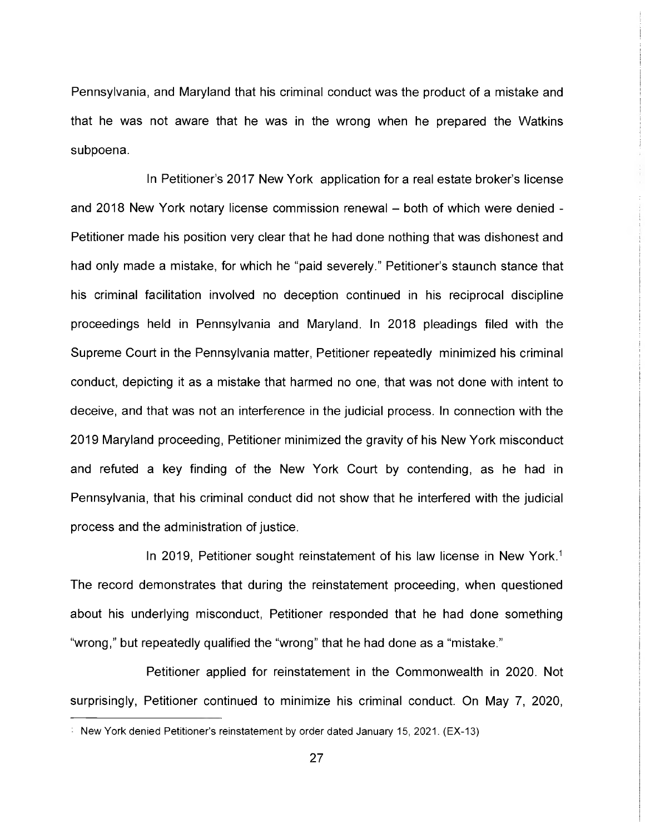Pennsylvania, and Maryland that his criminal conduct was the product of a mistake and that he was not aware that he was in the wrong when he prepared the Watkins subpoena.

In Petitioner's 2017 New York application for a real estate broker's license and 2018 New York notary license commission renewal — both of which were denied - Petitioner made his position very clear that he had done nothing that was dishonest and had only made a mistake, for which he "paid severely." Petitioner's staunch stance that his criminal facilitation involved no deception continued in his reciprocal discipline proceedings held in Pennsylvania and Maryland. In 2018 pleadings filed with the Supreme Court in the Pennsylvania matter, Petitioner repeatedly minimized his criminal conduct, depicting it as a mistake that harmed no one, that was not done with intent to deceive, and that was not an interference in the judicial process. In connection with the 2019 Maryland proceeding, Petitioner minimized the gravity of his New York misconduct and refuted a key finding of the New York Court by contending, as he had in Pennsylvania, that his criminal conduct did not show that he interfered with the judicial process and the administration of justice.

In 2019, Petitioner sought reinstatement of his law license in New York.<sup>1</sup> The record demonstrates that during the reinstatement proceeding, when questioned about his underlying misconduct, Petitioner responded that he had done something "wrong," but repeatedly qualified the "wrong" that he had done as a "mistake."

Petitioner applied for reinstatement in the Commonwealth in 2020. Not surprisingly, Petitioner continued to minimize his criminal conduct. On May 7, 2020,

New York denied Petitioner's reinstatement by order dated January 15, 2021. (EX-13)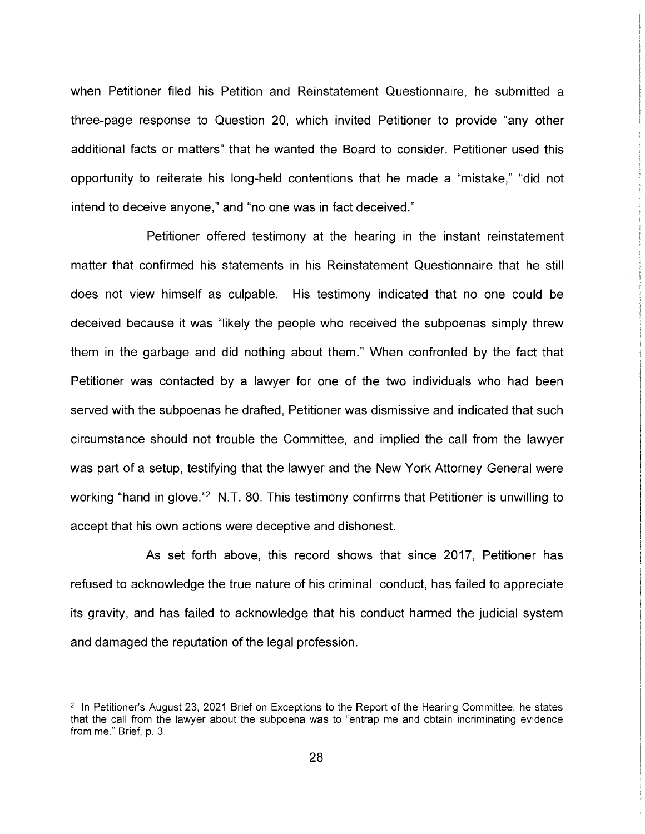when Petitioner filed his Petition and Reinstatement Questionnaire, he submitted a three-page response to Question 20, which invited Petitioner to provide "any other additional facts or matters" that he wanted the Board to consider. Petitioner used this opportunity to reiterate his long-held contentions that he made a "mistake," "did not intend to deceive anyone," and "no one was in fact deceived."

Petitioner offered testimony at the hearing in the instant reinstatement matter that confirmed his statements in his Reinstatement Questionnaire that he still does not view himself as culpable. His testimony indicated that no one could be deceived because it was "likely the people who received the subpoenas simply threw them in the garbage and did nothing about them." When confronted by the fact that Petitioner was contacted by a lawyer for one of the two individuals who had been served with the subpoenas he drafted, Petitioner was dismissive and indicated that such circumstance should not trouble the Committee, and implied the call from the lawyer was part of a setup, testifying that the lawyer and the New York Attorney General were working "hand in glove."<sup>2</sup> N.T. 80. This testimony confirms that Petitioner is unwilling to accept that his own actions were deceptive and dishonest.

As set forth above, this record shows that since 2017, Petitioner has refused to acknowledge the true nature of his criminal conduct, has failed to appreciate its gravity, and has failed to acknowledge that his conduct harmed the judicial system and damaged the reputation of the legal profession.

<sup>&</sup>lt;sup>2</sup> In Petitioner's August 23, 2021 Brief on Exceptions to the Report of the Hearing Committee, he states that the call from the lawyer about the subpoena was to "entrap me and obtain incriminating evidence from me." Brief, p. 3.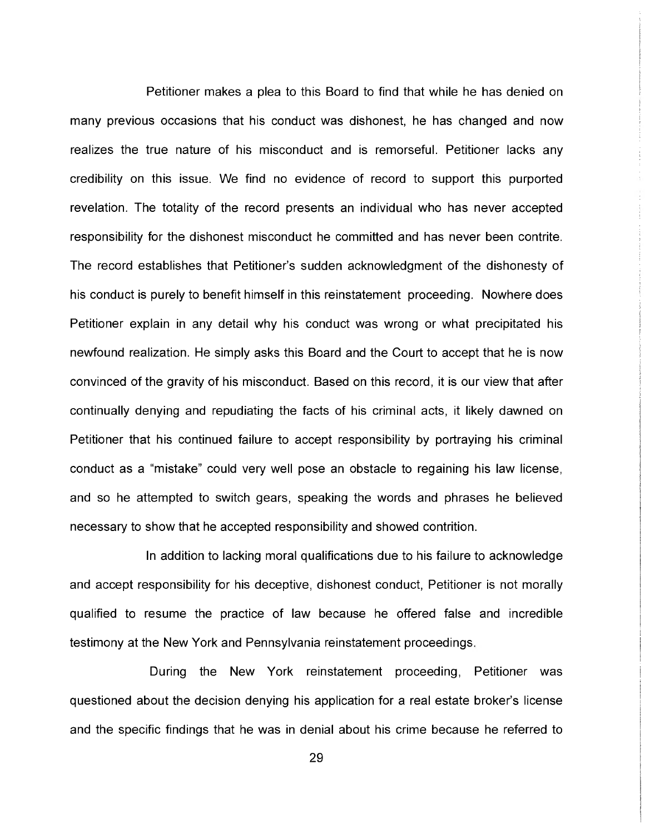Petitioner makes a plea to this Board to find that while he has denied on many previous occasions that his conduct was dishonest, he has changed and now realizes the true nature of his misconduct and is remorseful. Petitioner lacks any credibility on this issue. We find no evidence of record to support this purported revelation. The totality of the record presents an individual who has never accepted responsibility for the dishonest misconduct he committed and has never been contrite. The record establishes that Petitioner's sudden acknowledgment of the dishonesty of his conduct is purely to benefit himself in this reinstatement proceeding. Nowhere does Petitioner explain in any detail why his conduct was wrong or what precipitated his newfound realization. He simply asks this Board and the Court to accept that he is now convinced of the gravity of his misconduct. Based on this record, it is our view that after continually denying and repudiating the facts of his criminal acts, it likely dawned on Petitioner that his continued failure to accept responsibility by portraying his criminal conduct as a "mistake" could very well pose an obstacle to regaining his law license, and so he attempted to switch gears, speaking the words and phrases he believed necessary to show that he accepted responsibility and showed contrition.

In addition to lacking moral qualifications due to his failure to acknowledge and accept responsibility for his deceptive, dishonest conduct, Petitioner is not morally qualified to resume the practice of law because he offered false and incredible testimony at the New York and Pennsylvania reinstatement proceedings.

During the New York reinstatement proceeding, Petitioner was questioned about the decision denying his application for a real estate broker's license and the specific findings that he was in denial about his crime because he referred to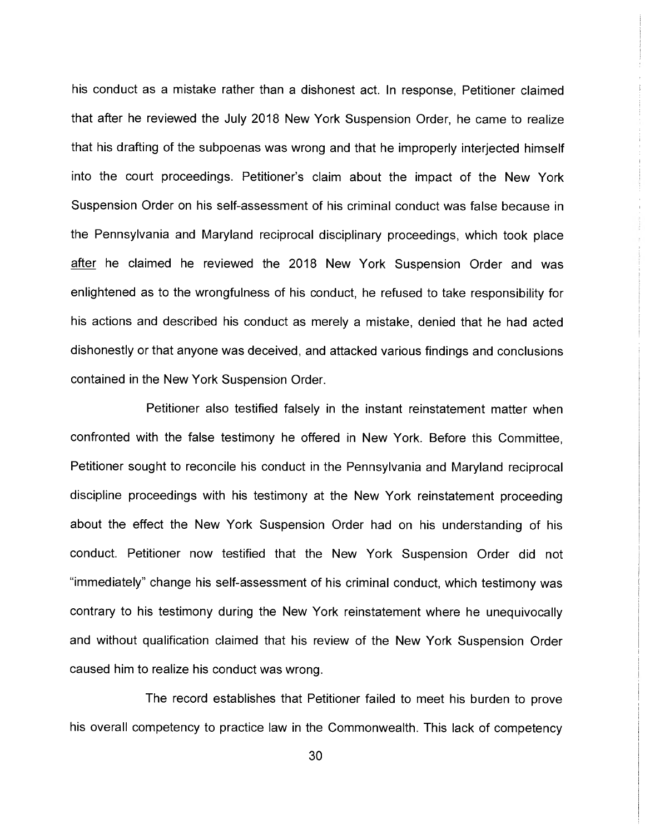his conduct as a mistake rather than a dishonest act. In response, Petitioner claimed that after he reviewed the July 2018 New York Suspension Order, he came to realize that his drafting of the subpoenas was wrong and that he improperly interjected himself into the court proceedings. Petitioner's claim about the impact of the New York Suspension Order on his self-assessment of his criminal conduct was false because in the Pennsylvania and Maryland reciprocal disciplinary proceedings, which took place after he claimed he reviewed the 2018 New York Suspension Order and was enlightened as to the wrongfulness of his conduct, he refused to take responsibility for his actions and described his conduct as merely a mistake, denied that he had acted dishonestly or that anyone was deceived, and attacked various findings and conclusions contained in the New York Suspension Order.

Petitioner also testified falsely in the instant reinstatement matter when confronted with the false testimony he offered in New York. Before this Committee, Petitioner sought to reconcile his conduct in the Pennsylvania and Maryland reciprocal discipline proceedings with his testimony at the New York reinstatement proceeding about the effect the New York Suspension Order had on his understanding of his conduct. Petitioner now testified that the New York Suspension Order did not "immediately" change his self-assessment of his criminal conduct, which testimony was contrary to his testimony during the New York reinstatement where he unequivocally and without qualification claimed that his review of the New York Suspension Order caused him to realize his conduct was wrong.

The record establishes that Petitioner failed to meet his burden to prove his overall competency to practice law in the Commonwealth. This lack of competency

30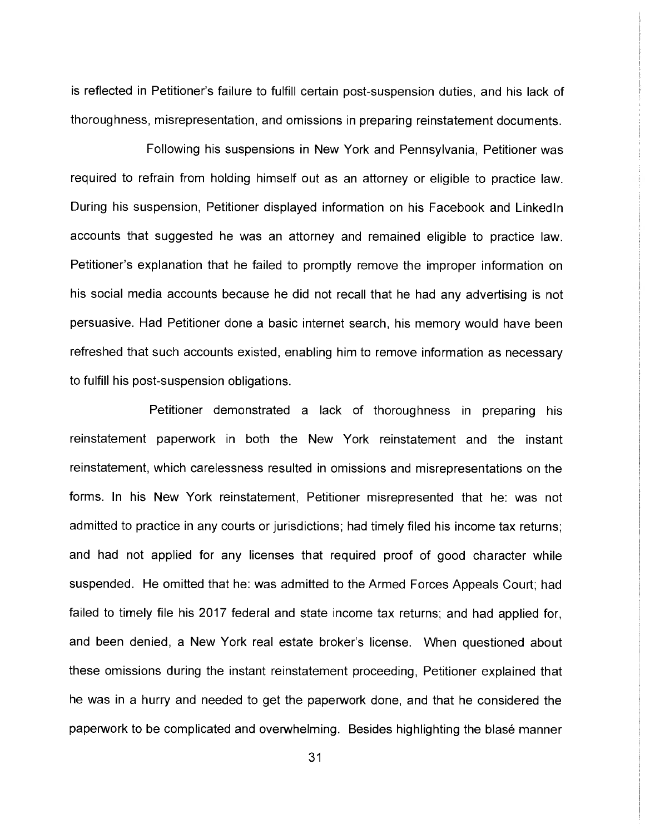is reflected in Petitioner's failure to fulfill certain post-suspension duties, and his lack of thoroughness, misrepresentation, and omissions in preparing reinstatement documents.

Following his suspensions in New York and Pennsylvania, Petitioner was required to refrain from holding himself out as an attorney or eligible to practice law. During his suspension, Petitioner displayed information on his Facebook and Linkedln accounts that suggested he was an attorney and remained eligible to practice law. Petitioner's explanation that he failed to promptly remove the improper information on his social media accounts because he did not recall that he had any advertising is not persuasive. Had Petitioner done a basic internet search, his memory would have been refreshed that such accounts existed, enabling him to remove information as necessary to fulfill his post-suspension obligations.

Petitioner demonstrated a lack of thoroughness in preparing his reinstatement paperwork in both the New York reinstatement and the instant reinstatement, which carelessness resulted in omissions and misrepresentations on the forms. In his New York reinstatement, Petitioner misrepresented that he: was not admitted to practice in any courts or jurisdictions; had timely filed his income tax returns; and had not applied for any licenses that required proof of good character while suspended. He omitted that he: was admitted to the Armed Forces Appeals Court; had failed to timely file his 2017 federal and state income tax returns; and had applied for, and been denied, a New York real estate broker's license. When questioned about these omissions during the instant reinstatement proceeding, Petitioner explained that he was in a hurry and needed to get the paperwork done, and that he considered the paperwork to be complicated and overwhelming. Besides highlighting the blasé manner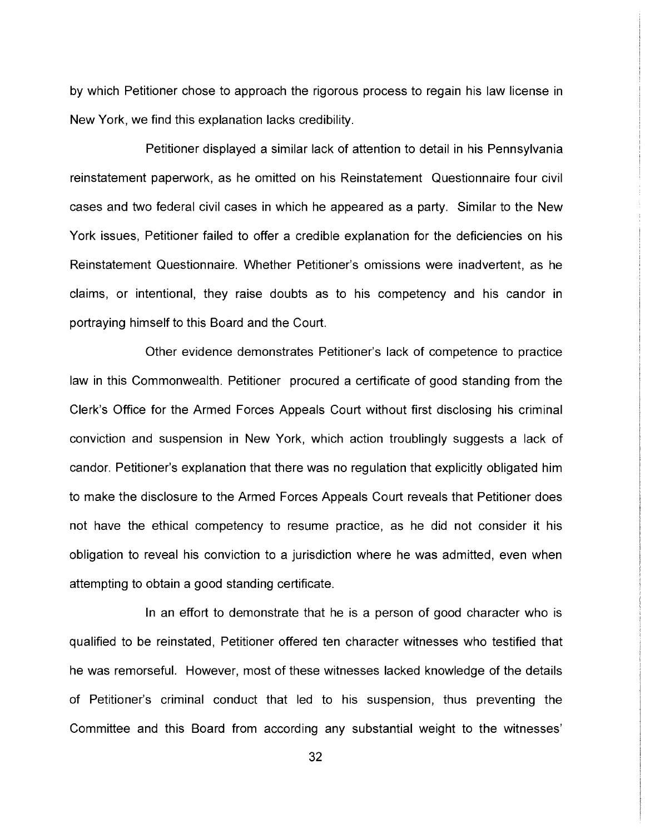by which Petitioner chose to approach the rigorous process to regain his law license in New York, we find this explanation lacks credibility.

Petitioner displayed a similar lack of attention to detail in his Pennsylvania reinstatement paperwork, as he omitted on his Reinstatement Questionnaire four civil cases and two federal civil cases in which he appeared as a party. Similar to the New York issues, Petitioner failed to offer a credible explanation for the deficiencies on his Reinstatement Questionnaire. Whether Petitioner's omissions were inadvertent, as he claims, or intentional, they raise doubts as to his competency and his candor in portraying himself to this Board and the Court.

Other evidence demonstrates Petitioner's lack of competence to practice law in this Commonwealth. Petitioner procured a certificate of good standing from the Clerk's Office for the Armed Forces Appeals Court without first disclosing his criminal conviction and suspension in New York, which action troublingly suggests a lack of candor. Petitioner's explanation that there was no regulation that explicitly obligated him to make the disclosure to the Armed Forces Appeals Court reveals that Petitioner does not have the ethical competency to resume practice, as he did not consider it his obligation to reveal his conviction to a jurisdiction where he was admitted, even when attempting to obtain a good standing certificate.

In an effort to demonstrate that he is a person of good character who is qualified to be reinstated, Petitioner offered ten character witnesses who testified that he was remorseful. However, most of these witnesses lacked knowledge of the details of Petitioner's criminal conduct that led to his suspension, thus preventing the Committee and this Board from according any substantial weight to the witnesses'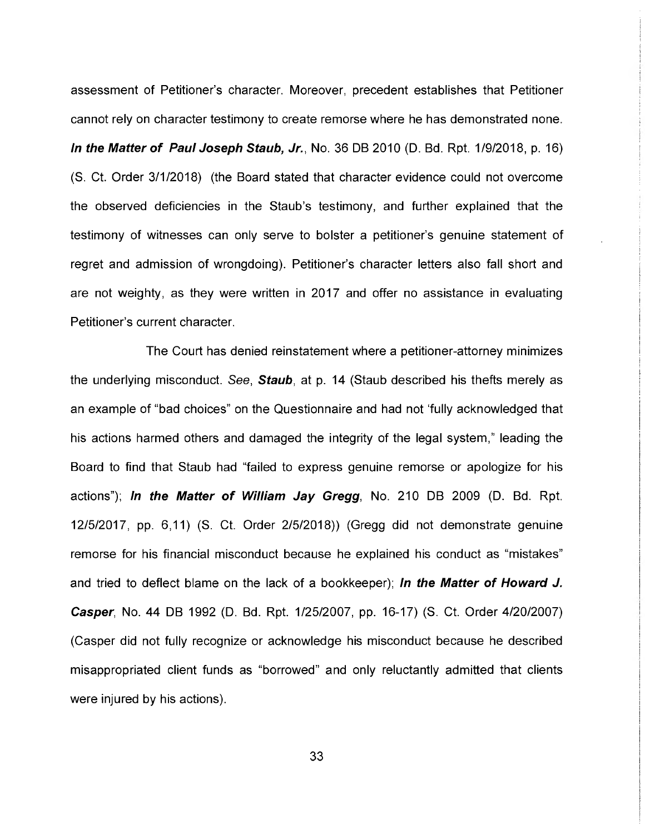assessment of Petitioner's character. Moreover, precedent establishes that Petitioner cannot rely on character testimony to create remorse where he has demonstrated none. In the Matter of Paul Joseph Staub, Jr., No. 36 DB 2010 (D. Bd. Rpt. 1/9/2018, p. 16) (S. Ct. Order 3/1/2018) (the Board stated that character evidence could not overcome the observed deficiencies in the Staub's testimony, and further explained that the testimony of witnesses can only serve to bolster a petitioner's genuine statement of regret and admission of wrongdoing). Petitioner's character letters also fall short and are not weighty, as they were written in 2017 and offer no assistance in evaluating Petitioner's current character.

The Court has denied reinstatement where a petitioner-attorney minimizes the underlying misconduct. See, **Staub**, at p. 14 (Staub described his thefts merely as an example of "bad choices" on the Questionnaire and had not 'fully acknowledged that his actions harmed others and damaged the integrity of the legal system," leading the Board to find that Staub had "failed to express genuine remorse or apologize for his actions"); In the Matter of William Jay Gregg, No. 210 DB 2009 (D. Bd. Rpt. 12/5/2017, pp. 6,11) (S. Ct. Order 2/5/2018)) (Gregg did not demonstrate genuine remorse for his financial misconduct because he explained his conduct as "mistakes" and tried to deflect blame on the lack of a bookkeeper); In the Matter of Howard J. Casper, No. 44 DB 1992 (D. Bd. Rpt. 1/25/2007, pp. 16-17) (S. Ct. Order 4/20/2007) (Casper did not fully recognize or acknowledge his misconduct because he described misappropriated client funds as "borrowed" and only reluctantly admitted that clients were injured by his actions).

33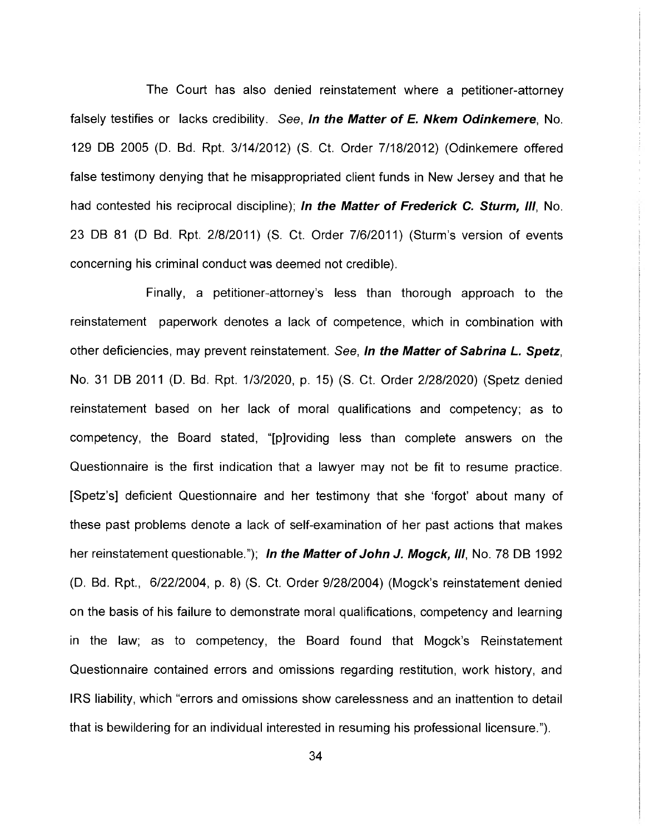The Court has also denied reinstatement where a petitioner-attorney falsely testifies or lacks credibility. See, In the Matter of E. Nkem Odinkemere, No. 129 DB 2005 (D. Bd. Rpt. 3/14/2012) (S. Ct. Order 7/18/2012) (Odinkemere offered false testimony denying that he misappropriated client funds in New Jersey and that he had contested his reciprocal discipline); In the Matter of Frederick C. Sturm, III, No. 23 DB 81 (D Bd. Rpt. 2/8/2011) (S. Ct. Order 7/6/2011) (Sturm's version of events concerning his criminal conduct was deemed not credible).

Finally, a petitioner-attorney's less than thorough approach to the reinstatement paperwork denotes a lack of competence, which in combination with other deficiencies, may prevent reinstatement. See, **In the Matter of Sabrina L. Spetz**, No. 31 DB 2011 (D. Bd. Rpt. 1/3/2020, p. 15) (S. Ct. Order 2/28/2020) (Spetz denied reinstatement based on her lack of moral qualifications and competency; as to competency, the Board stated, "[p]roviding less than complete answers on the Questionnaire is the first indication that a lawyer may not be fit to resume practice. [Spetz's] deficient Questionnaire and her testimony that she `forgot' about many of these past problems denote a lack of self-examination of her past actions that makes her reinstatement questionable."); In the Matter of John J. Mogck, III, No. 78 DB 1992 (D. Bd. Rpt., 6/22/2004, p. 8) (S. Ct. Order 9/28/2004) (Mogck's reinstatement denied on the basis of his failure to demonstrate moral qualifications, competency and learning in the law; as to competency, the Board found that Mogck's Reinstatement Questionnaire contained errors and omissions regarding restitution, work history, and IRS liability, which "errors and omissions show carelessness and an inattention to detail that is bewildering for an individual interested in resuming his professional licensure. ").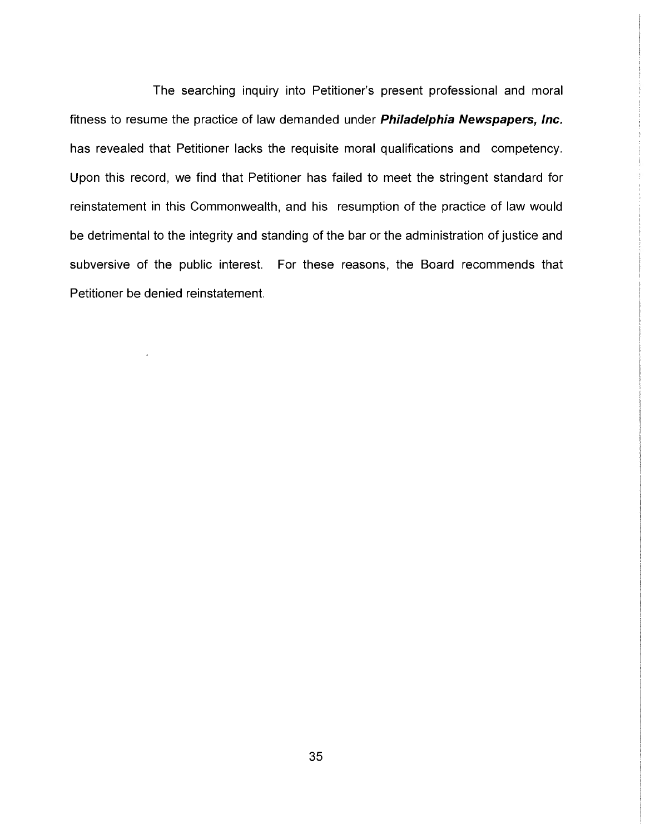The searching inquiry into Petitioner's present professional and moral fitness to resume the practice of law demanded under Philadelphia Newspapers, Inc. has revealed that Petitioner lacks the requisite moral qualifications and competency. Upon this record, we find that Petitioner has failed to meet the stringent standard for reinstatement in this Commonwealth, and his resumption of the practice of law would be detrimental to the integrity and standing of the bar or the administration of justice and subversive of the public interest. For these reasons, the Board recommends that Petitioner be denied reinstatement.